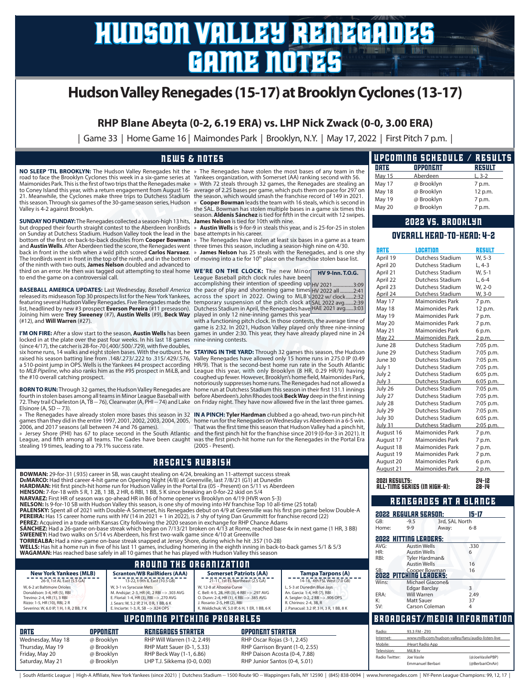# hudson valley renegades game notes

# **Hudson Valley Renegades (15-17) at Brooklyn Cyclones (13-17)**

**RHP Blane Abeyta (0-2, 6.19 ERA) vs. LHP Nick Zwack (0-0, 3.00 ERA)**

| Game 33 | Home Game 16 | Maimondes Park | Brooklyn, N.Y. | May 17, 2022 | First Pitch 7 p.m. |

### news & notes

Maimonides Park. This is the first of two trips that the Renegades make to Coney Island this year, with a return engagement from August 16- 21. Meanwhile, the Cyclones make three trips to Dutchess Stadium this season. Through six games of the 30-game season series, Hudson Valley is 4-2 against Brooklyn.

**SUNDAY NO FUNDAY:**The Renegades collected a season-high 13 hits, **James Nelson** is tied for 10th with nine. but dropped their fourth straight contest to the Aberdeen IronBirds on Sunday at Dutchess Stadium. Hudson Valley took the lead in the base attempts in his career. bottom of the first on back-to-back doubles from **Cooper Bowman**  and **Austin Wells**. After Aberdeen tied the score, the Renegades went three times this season, including a season-high nine on 4/30. back in front in the sixth when a wild pitch scored **Carlos Narvaez. » James Nelson** has 25 steals with the Renegades, and is one shy<br>The IronBirds went in front in the top of the ninth, and in the bottom of moving into a of the ninth with two outs, **James Nelson** doubled and advanced to third on an error. He then was tagged out attempting to steal home to end the game on a controversial call. **WE'RE ON THE CLOCK:** The new Minor League Baseball pitch clock rules have been

**BASEBALL AMERICA UPDATES:** Last Wednesday, *Baseball America*<br>released its midseason Top 30 prospects list for the New York Yankees,<br>featuring several Hudson Valley Renegades. Five Renegades made the<br>list, headlined by ne Joining him were **Trey Sweeney** (#7), **Austin Wells** (#9), **Beck Way**  (#12), and **Will Warren** (#27).

**I'M ON FIRE:** After a slow start to the season, **Austin Wells** has been locked in at the plate over the past four weeks. In his last 18 games (since 4/17), the catcher is 28-for-70 (.400/.500/.729), with five doubles, nine-inning contests. six home runs, 14 walks and eight stolen bases. With the outburst, he raised his season batting line from .148/.273/.222 to .315/.429/.576, a 510-point jump in OPS. Wells is the Yankees #4 prospect according to *MLB Pipeline*, who also ranks him as the #95 prospect in MiLB, and the #10 overall catching prospect.

**BORN TO RUN:** Through 32 games, the Hudson Valley Renegades are 72. They trail Charleston (A, TB -- 76), Clearwater (A, PHI -- 74) and Lake Elsinore (A, SD -- 73).

2006, and 2017 seasons (all between 74 and 76 games).

League, and fifth among all teams. The Gades have been caught stealing 19 times, leading to a 79.1% success rate.

**NO SLEEP 'TIL BROOKLYN:** The Hudson Valley Renegades hit the » The Renegades have stolen the most bases of any team in the road to face the Brooklyn Cyclones this week in a six-game series at Yankees organization, with Somerset (AA) ranking second with 56. » With 72 steals through 32 games, the Renegades are stealing an average of 2.25 bases per game, which puts them on pace for 297 on the season, which would smash the franchise record of 149 in 2021. » **Cooper Bowman** leads the team with 16 steals, which is second in

the SAL. Bowman has stolen multiple bases in a game six times this season. **Aldenis Sánchez** is tied for fifth in the circuit with 12 swipes.

» **Austin Wells** is 9-for-9 in steals this year, and is 25-for-25 in stolen

The Renegades have stolen at least six bases in a game as a team

**HV 9-Inn. T.O.G.**

accomplishing their intention of speeding up the pace of play and shortening game times across the sport in 2022. Owing to MLB's temporary suspension of the pitch clock at Dutchess Stadium in April, the Renegades have played in only 12 nine-inning games this year with a functioning pitch clock. In those contests, the average time of HV 2021.................3:09 HV 2022 all ...........2:41 2022 w/ clock......2:32 SAL 2022 avg.......2:39 HAE 2021 avg......3:03

game is 2:32. In 2021, Hudson Valley played only three nine-inning games in under 2:30. This year, they have already played nine in 24

fourth in stolen bases among all teams in Minor League Baseball with before Aberdeen's John Rhodes took **Beck Way** deep in the first inning **STAYING IN THE YARD:** Through 32 games this season, the Hudson Valley Renegades have allowed only 15 home runs in 275.0 IP (0.49 HR/9). That is the second-best home run rate in the South Atlantic League this year, with only Brooklyn (8 HR, 0.29 HR/9) having coughed up fewer. However, Brooklyn's home field, Maimonides Park, notoriously suppresses home runs. The Renegades had not allowed a home run at Dutchess Stadium this season in their first 131.1 innings on Friday night. They have now allowed five in the last three games.

» The Renegades have already stolen more bases this season in 32 **IN A PINCH: Tyler Hardman** clubbed a go-ahead, two-run pinch-hit games than they did in the entire 1997, 2001, 2002, 2003, 2004, 2005, home run for the Renegades on Wednesday vs Aberdeen in a 6-5 win. » Jersey Shore (PHI) has 67 to place second in the South Atlantic and the first pinch hit for the franchise since 2019 (0-for-3 in 2021). It That was the first time this season that Hudson Valley had a pinch hit, was the first pinch-hit home run for the Renegades in the Portal Era (2005 - Present).

# rascal's rubbish

Thursday, May 19 @ Brooklyn RHP Matt Sauer (0-1, 5.33) RHP Garrison Bryant (1-0, 2.55) Friday, May 20 @ Brooklyn RHP Beck Way (1-1, 6.86) RHP Daison Acosta (0-4, 7.88)<br>Saturday, May 21 @ Brooklyn LHP T.J. Sikkema (0-0, 0,00) RHP Junior Santos (0-4, 5,01) LHP T.J. Sikkema (0-0, 0.00)

|                                                                                                                                                                                                                                       |            | <b>BOWMAN:</b> 29-for-31 (.935) career in SB, was caught stealing on 4/24, breaking an 11-attempt success streak<br>DEMARCO: Had third career 4-hit game on Opening Night (4/8) at Greenville, last 7/8/21 (G1) at Dunedin<br>HARDMAN: Hit first pinch-hit home run for Hudson Valley in the Portal Era (05 - Present) on 5/11 vs Aberdeen<br><b>HENSON:</b> 7-for-18 with 5 R, 1 2B, 1 3B, 2 HR, 6 RBI, 1 BB, 5 K since breaking an 0-for-22 skid on 5/4<br><b>NARVAEZ:</b> First HR of season was go-ahead HR in B6 of home opener vs Brooklyn on 4/19 (HVR won 5-3)<br>NELSON: Is 9-for-10 SB with Hudson Valley this season, is one shy of moving into HV franchise Top 10 all-time (25 total)<br><b>PEREIRA:</b> Has 15 career home runs with HV (14 in 2021 + 1 in 2022), is 7 shy of tying Dan Grummitt for franchise record (22)<br>PEREZ: Acquired in a trade with Kansas City following the 2020 season in exchange for RHP Chance Adams<br><b>SWEENEY:</b> Had two walks on 5/14 vs Aberdeen, his first two-walk game since 4/10 at Greenville<br><b>TORREALBA:</b> Had a nine-game on-base streak snapped at Jersey Shore, during which he hit .357 (10-28)<br>WELLS: Has hit a home run in five of his last 11 games, including homering in the eighth inning in back-to-back games 5/1 & 5/3<br>WAGAMAN: Has reached base safely in all 10 games that he has played with Hudson Valley this season |                                                                                                                                                                                                                                                                            |                             | PALENSKY: Spent all of 2021 with Double-A Somerset, his Renegades debut on 4/9 at Greenville was his first pro game below Double-A<br><b>SÁNCHEZ:</b> Had a 26-game on-base streak which began on 7/13/21 broken on 4/13 at Rome, reached base 4x in next game (1 HR, 3 BB) | August Z I<br><b>2021 RESULTS:</b><br><b>ALL-TIME SER</b><br><b>2022 REGUL</b><br>GB:<br>Home:<br><b>2022 HITTIN</b><br>AVG:<br>HR:<br>RBI: | <b>RENE</b><br>$-9$<br>$9-$<br>Aι<br>Aι<br>Ty |
|---------------------------------------------------------------------------------------------------------------------------------------------------------------------------------------------------------------------------------------|------------|------------------------------------------------------------------------------------------------------------------------------------------------------------------------------------------------------------------------------------------------------------------------------------------------------------------------------------------------------------------------------------------------------------------------------------------------------------------------------------------------------------------------------------------------------------------------------------------------------------------------------------------------------------------------------------------------------------------------------------------------------------------------------------------------------------------------------------------------------------------------------------------------------------------------------------------------------------------------------------------------------------------------------------------------------------------------------------------------------------------------------------------------------------------------------------------------------------------------------------------------------------------------------------------------------------------------------------------------------------------------------------------------------------------|----------------------------------------------------------------------------------------------------------------------------------------------------------------------------------------------------------------------------------------------------------------------------|-----------------------------|-----------------------------------------------------------------------------------------------------------------------------------------------------------------------------------------------------------------------------------------------------------------------------|---------------------------------------------------------------------------------------------------------------------------------------------|-----------------------------------------------|
| <b>New York Yankees (MLB)</b><br>26-9, 1st AL East (5.5 GA)<br>W. 6-2 at Baltimore Orioles<br>Donaldson: 3-4, HR (5), RBI<br>Trevino: 2-4, HR (1), 3 RBI<br>Rizzo: 1-5, HR (10), RBI, 2 R<br>Severino: W, 6.0 IP, 1 H, 1 R, 2 BB, 7 K |            | <b>AROUND THE ORGANIZATION</b><br><b>Scranton/WB RailRiders (AAA)</b><br>13-22, t-9th IL East (10.5 GB)<br>W. 3-1 vs Syracuse Mets<br>M. Andújar: 2-3, HR (4), 2 RBI --> .303 AVG<br>E. Florial: 1-4, HR (3), RBI -- > .270 AVG<br>J. Sears: W. 5.2 IP. 2 H. 0 R. 1 BB. 6 K.<br>E. Inciarte: 1-3, R. SB --> .824 OPS                                                                                                                                                                                                                                                                                                                                                                                                                                                                                                                                                                                                                                                                                                                                                                                                                                                                                                                                                                                                                                                                                             | <b>Somerset Patriots (AA)</b><br>21-11, 1st EL Northeast (2.5 GA)<br>W, 12-8 at Altoona Curve<br>C. Bell: 4-5, 2B, HR (3), 4 RBI -- > .297 AVG<br>O. Dunn: 2-4. HR (1), 4 RBI -> .385 AVG<br>J. Rosario: 2-5, HR (2), RBI<br>K. Waldichuk: W, 5.0 IP, 6 H, 1 ER, 1 BB, 6 K |                             | <b>Tampa Tarpons (A)</b><br>14-18, 4th FSL West (7.0 GB)<br>L, 5-3 at Dunedin Blue Jays<br>An. Garcia: 1-4, HR (7), RBI<br>A. Seigler: 0-2, 2 BB --> .906 OPS<br>R. Chirinos: 2-4, 3B, R<br>J. Panacual: 3.2 IP, 3 H, 3 R, 1 BB, 8 K                                        | $\overline{\mathbf{20}}$ 22 pitchi<br>Wins:<br>ERA:<br>К:<br>SV:                                                                            | Aι<br>M<br>Ec<br>W<br>M.<br>Ca                |
| DRTE                                                                                                                                                                                                                                  | OPPONENT   | UPCOMING PITCHING PROBABLES<br><b>RENEGADES STARTER</b>                                                                                                                                                                                                                                                                                                                                                                                                                                                                                                                                                                                                                                                                                                                                                                                                                                                                                                                                                                                                                                                                                                                                                                                                                                                                                                                                                          |                                                                                                                                                                                                                                                                            | OPPONENT STARTER            |                                                                                                                                                                                                                                                                             | <b>BROADCA</b><br>Radio:                                                                                                                    | 93                                            |
| Wednesday, May 18                                                                                                                                                                                                                     | @ Brooklyn | RHP Will Warren (1-2, 2.49)                                                                                                                                                                                                                                                                                                                                                                                                                                                                                                                                                                                                                                                                                                                                                                                                                                                                                                                                                                                                                                                                                                                                                                                                                                                                                                                                                                                      |                                                                                                                                                                                                                                                                            | RHP Oscar Rojas (3-1, 2.45) |                                                                                                                                                                                                                                                                             | Internet:                                                                                                                                   | wy                                            |

|               | UPCOMING SCHEDULE / RESULTS |         |
|---------------|-----------------------------|---------|
| DRTE          | OPPONENT                    | RESULT  |
| <b>May 15</b> | Aberdeen                    | $L.3-2$ |
| May 17        | @ Brooklyn                  | 7 p.m.  |
| May 18        | @ Brooklyn                  | 12 p.m. |
| May 19        | @ Brooklyn                  | 7 p.m.  |
| May 20        | @ Brooklyn                  | 7 p.m.  |

## 2022 vs. Brooklyn

### overall head-to-head: 4-2

|        | DRTE                          | LOCATION                                                 | <b>RESULT</b>   |
|--------|-------------------------------|----------------------------------------------------------|-----------------|
|        | April 19                      | Dutchess Stadium                                         | W, 5-3          |
|        | April 20                      | Dutchess Stadium                                         | $L.4-3$         |
|        | April 21                      | Dutchess Stadium                                         | W, 5-1          |
|        | April 22                      | Dutchess Stadium                                         | $L, 6-4$        |
|        | April 23                      | Dutchess Stadium                                         | W, 2-0          |
|        | April 24                      | Dutchess Stadium                                         | W, 3-0          |
|        | May 17                        | <b>Maimonides Park</b>                                   | 7 p.m.          |
|        | May 18                        | <b>Maimonides Park</b>                                   | 12 p.m.         |
|        | May 19                        | <b>Maimonides Park</b>                                   | 7 p.m.          |
| f      | May 20                        | Maimonides Park                                          | 7 p.m.          |
| J      | May 21                        | Maimonides Park                                          | 6 p.m.          |
| į      | May 22                        | Maimonides Park                                          | 2 p.m.          |
|        | June 28                       | Dutchess Stadium                                         | 7:05 p.m.       |
|        | June 29                       | Dutchess Stadium                                         | 7:05 p.m.       |
| ∢      | June 30                       | Dutchess Stadium                                         | 7:05 p.m.       |
| İ      | July 1                        | Dutchess Stadium                                         | 7:05 p.m.       |
| J      | July 2                        | Dutchess Stadium                                         | 6:05 p.m.       |
| ż      | July 3                        | Dutchess Stadium                                         | 6:05 p.m.       |
| ì<br>ś | July 26                       | Dutchess Stadium                                         | 7:05 p.m.       |
| J      | July 27                       | Dutchess Stadium                                         | 7:05 p.m.       |
|        | July 28                       | Dutchess Stadium                                         | 7:05 p.m.       |
|        | July 29                       | Dutchess Stadium                                         | 7:05 p.m.       |
| t      | July 30                       | Dutchess Stadium                                         | 6:05 p.m.       |
|        | <b>July 31</b>                | Dutchess Stadium                                         | 2:05 p.m.       |
| t      | August 16                     | <b>Maimonides Park</b>                                   | 7 p.m.          |
| ì      | August 17                     | <b>Maimonides Park</b>                                   | 7 p.m.          |
|        | August 18                     | Maimonides Park                                          | 7 p.m.          |
|        | August 19                     | Maimonides Park                                          | 7 p.m.          |
|        | August 20                     | <b>Maimonides Park</b>                                   | 6 p.m.          |
|        | August 21                     | Maimonides Park                                          | 2 p.m.          |
|        |                               |                                                          |                 |
|        |                               |                                                          |                 |
|        | 2021 RESULTS:                 |                                                          | 24-12           |
|        |                               | ALL-TIME SERIES (IN HIGH-A):                             | 28-14           |
|        |                               | <b>RENEGADES</b><br><b>ATA</b>                           | GLANCE          |
|        |                               | 2022 REGULAR SEASON:                                     |                 |
|        | GB:                           | $-9.5$<br>3rd, SAL North                                 | $15 - 17$       |
|        | Home:                         | $9 - 9$<br>Away:                                         | $6 - 8$         |
|        |                               |                                                          |                 |
|        |                               | 2022  HITTING LEADERS:                                   |                 |
|        | AVG:<br>HR:                   | <b>Austin Wells</b><br><b>Austin Wells</b>               | .330<br>6       |
|        | RBI:                          | Tyler Hardman&                                           |                 |
|        |                               | <b>Austin Wells</b>                                      | 16              |
|        | SB:                           |                                                          | 16              |
|        | Wins:                         | SB:<br><b>2022 PITCHING LEADERS:</b><br>Michael Giacone& |                 |
|        |                               | Edgar Barclay                                            | 3               |
|        | ERA:                          | Will Warren                                              | 2.49            |
|        | К:                            | Matt Sauer                                               | 37              |
|        | SV:                           | Carson Coleman                                           | 4               |
|        |                               | ROADCAST/MEDIA INFORMATION                               |                 |
|        | Radio:                        | 93.3 FM - Z93                                            |                 |
|        | Internet:                     | www.milb.com/hudson-valley/fans/audio-listen-live        |                 |
|        | Mobile:                       | iHeart Radio App                                         |                 |
|        | Television:<br>Radio Twitter: | MiLB.tv<br>loe Vasile                                    | (@JoeVasilePRP) |

Emmanuel Berbari (@BerbariOnAir)

| South Atlantic League | High-A Affiliate, New York Yankees (since 2021) | Dutchess Stadium -- 1500 Route 9D -- Wappingers Falls, NY 12590 | (845) 838-0094 | www.hvrenegades.com | NY-Penn League Champions: 99, 12, 17 |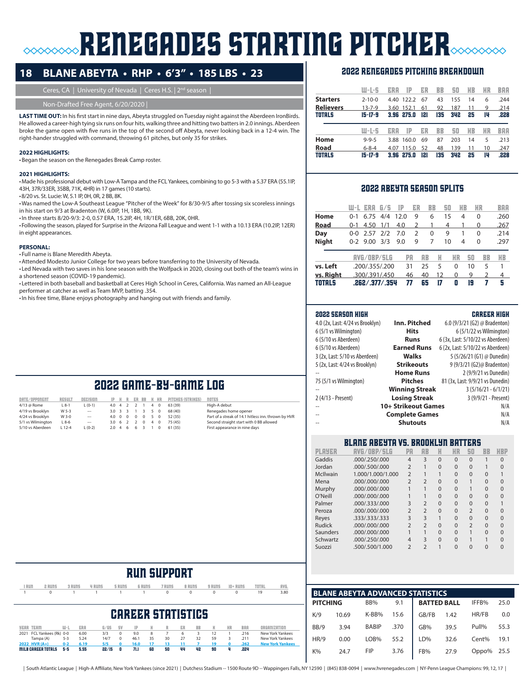# **RENEGADES STARTING PITCHER**

# **18 BLANE ABEYTA • RHP • 6'3" • 185 LBS • 23**

Ceres, CA | University of Nevada | Ceres H.S. | 2<sup>nd</sup> season |

Non-Drafted Free Agent, 6/20/2020 |

LAST TIME OUT: In his first start in nine days, Abeyta struggled on Tuesday night against the Aberdeen IronBirds. He allowed a career-high tying six runs on four hits, walking three and hitting two batters in 2.0 innings. Aberdeen broke the game open with five runs in the top of the second off Abeyta, never looking back in a 12-4 win. The right-hander struggled with command, throwing 61 pitches, but only 35 for strikes.

#### **2022 HIGHLIGHTS:**

•Began the season on the Renegades Break Camp roster.

#### **2021 HIGHLIGHTS:**

•Made his professional debut with Low-A Tampa and the FCL Yankees, combining to go 5-3 with a 5.37 ERA (55.1IP, 43H, 37R/33ER, 35BB, 71K, 4HR) in 17 games (10 starts).

•8/20 vs. St. Lucie: W, 5.1 IP, 0H, 0R, 2 BB, 8K.

•Was named the Low-A Southeast League "Pitcher of the Week" for 8/30-9/5 after tossing six scoreless innings in his start on 9/3 at Bradenton (W, 6.0IP, 1H, 1BB, 9K).

•In three starts 8/20-9/3: 2-0, 0.57 ERA, 15.2IP, 4H, 1R/1ER, 6BB, 20K, 0HR.

•Following the season, played for Surprise in the Arizona Fall League and went 1-1 with a 10.13 ERA (10.2IP, 12ER) in eight appearances.

#### **PERSONAL:**

• Full name is Blane Meredith Abeyta.

•Attended Modesto Junior College for two years before transferring to the University of Nevada.

• Led Nevada with two saves in his lone season with the Wolfpack in 2020, closing out both of the team's wins in a shortened season (COVID-19 pandemic).

• Lettered in both baseball and basketball at Ceres High School in Ceres, California. Was named an All-League performer at catcher as well as Team MVP, batting .354.

•In his free time, Blane enjoys photography and hanging out with friends and family.

### 2022 renegades pitching breakdown

|                  | $U-I-S$       | IP<br>ERA     | ER  | BB  | 50  | HB | ИR | BAA  |
|------------------|---------------|---------------|-----|-----|-----|----|----|------|
| <b>Starters</b>  | $2 - 10 - 0$  | 122.2<br>4.40 | 67  | 43  | 155 | 14 | 6  | .244 |
| <b>Relievers</b> | $13 - 7 - 9$  | 152.1<br>3.60 | 61  | 92  | 187 | 11 | 9  | .214 |
| <b>TOTALS</b>    | $15 - 17 - 9$ | 275.0<br>3.96 | 121 | 135 | 342 | 25 | 14 | .228 |
|                  |               |               |     |     |     |    |    |      |
|                  | W-L-S         | IP<br>ERA     | ER  | BB  | 50  | HB | ИR | BAA  |
| Home             | $9 - 9 - 5$   | 160.0<br>3.88 | 69  | 87  | 203 | 14 | 5  | .213 |
| Road             | $6 - 8 - 4$   | 115.0<br>4.07 | 52  | 48  | 139 | 11 | 10 | .247 |

#### 2022 abeyta season splits

|               | W-L     | ERA            | 675 | TP   | ER            | BB        | 50 | ИB      |    | ИR | BAA  |
|---------------|---------|----------------|-----|------|---------------|-----------|----|---------|----|----|------|
| Home          | $O - 1$ | 6.75           | 4/4 | 12.0 | 9             | 6         |    | 15<br>4 |    | 0  | .260 |
| Road          | $O - 1$ | 4.50           | 1/1 | 4.0  | $\mathcal{P}$ | 1         | 4  |         |    | 0  | .267 |
| Day           | 0-0     | 2.57           | 2/2 | 7.0  | 2             | 0         | 9  |         |    | 0  | .214 |
| <b>Night</b>  |         | $0-2$ 9.00 3/3 |     | 9.0  | 9             | 7         |    | 10<br>4 |    | 0  | .297 |
|               |         | AVG/OBP/SLG    |     |      | PA            | <b>RB</b> | H  | ИR      | 50 | BB | HB   |
| vs. Left      |         | .200/.355/.200 |     |      | 31            | 25        | 5  | 0       | 10 | 5  | 1    |
| vs. Right     |         | .300/.391/.450 |     |      | 46            | 40        | 12 | 0       | 9  | 2  | 4    |
| <b>TOTALS</b> |         | .262/.377/.354 |     |      | 77            | 65        | 17 | 0       | 19 | 7  | 5    |

#### 2022 season high career high

| 4.0 (2x, Last: 4/24 vs Brooklyn) | Inn. Pitched          | 6.0 (9/3/21 (G2) @ Bradenton)     |
|----------------------------------|-----------------------|-----------------------------------|
| 6 (5/1 vs Wilmington)            | <b>Hits</b>           | 6 (5/1/22 vs Wilmington)          |
| 6 (5/10 vs Aberdeen)             | Runs                  | 6 (3x, Last: 5/10/22 vs Aberdeen) |
| 6 (5/10 vs Aberdeen)             | <b>Earned Runs</b>    | 6 (2x, Last: 5/10/22 vs Aberdeen) |
| 3 (2x, Last: 5/10 vs Aberdeen)   | <b>Walks</b>          | 5 (5/26/21 (G1) @ Dunedin)        |
| 5 (2x, Last: 4/24 vs Brooklyn)   | <b>Strikeouts</b>     | 9 (9/3/21 (G2)@ Bradenton)        |
|                                  | <b>Home Runs</b>      | 2 (9/9/21 vs Dunedin)             |
| 75 (5/1 vs Wilmington)           | <b>Pitches</b>        | 81 (3x, Last: 9/9/21 vs Dunedin)  |
|                                  | <b>Winning Streak</b> | $3(5/16/21 - 6/1/21)$             |
| 2 (4/13 - Present)               | <b>Losing Streak</b>  | 3 (9/9/21 - Present)              |
|                                  | 10+ Strikeout Games   | N/A                               |
| $\overline{a}$                   | <b>Complete Games</b> | N/A                               |
| $\overline{\phantom{a}}$         | <b>Shutouts</b>       | N/A                               |
|                                  |                       |                                   |

### blane abeyta vs. Brooklyn batters

| PLAYER   | AVG/OBP/SLG       | PA                       | <b>AB</b>      | H        | HR       | 50             | <b>BB</b> | HBP |
|----------|-------------------|--------------------------|----------------|----------|----------|----------------|-----------|-----|
| Gaddis   | .000/.250/.000    | $\overline{4}$           | 3              | $\Omega$ | $\Omega$ | $\Omega$       |           | O   |
| Jordan   | .000/.500/.000    | $\overline{2}$           |                | $\Omega$ | $\Omega$ | $\Omega$       |           | 0   |
| McIlwain | 1.000/1.000/1.000 | $\overline{2}$           |                |          | $\Omega$ | $\Omega$       | 0         |     |
| Mena     | .000/000/000      | $\overline{2}$           | $\mathfrak{D}$ | 0        | $\Omega$ |                | 0         | 0   |
| Murphy   | .000/000/000      |                          |                | 0        | $\Omega$ |                | 0         | O   |
| O'Neill  | .000/.000/.000    |                          |                | $\Omega$ | $\Omega$ | $\Omega$       | $\Omega$  | O   |
| Palmer   | .000/.333/.000    | 3                        | $\overline{2}$ | $\Omega$ | $\Omega$ | $\Omega$       | $\Omega$  |     |
| Peroza   | .000/.000/.000    | $\overline{2}$           | $\overline{2}$ | $\Omega$ | $\Omega$ | $\overline{2}$ | $\Omega$  |     |
| Reyes    | 333/333/333       | 3                        | 3              |          | $\Omega$ | $\Omega$       | $\Omega$  | 0   |
| Rudick   | .000/.000/.000    | $\overline{2}$           | $\overline{2}$ | $\Omega$ | $\Omega$ | $\overline{2}$ | $\Omega$  |     |
| Saunders | .000/.000/.000    | 1                        | 1              | $\Omega$ | $\Omega$ |                | $\Omega$  | O   |
| Schwartz | .000/.250/.000    | 4                        | 3              | $\Omega$ | $\Omega$ |                |           |     |
| Suozzi   | .500/.500/1.000   | $\overline{\phantom{0}}$ | $\mathfrak{D}$ |          | $\Omega$ | O              | O         |     |



|                 | <b>BLANE ABEYTA ADVANCED STATISTICS</b> |              |      |                    |      |       |      |  |  |  |  |  |  |
|-----------------|-----------------------------------------|--------------|------|--------------------|------|-------|------|--|--|--|--|--|--|
| <b>PITCHING</b> |                                         | BB%          | 9.1  | <b>BATTED BALL</b> |      | IFFB% | 25.0 |  |  |  |  |  |  |
| K/9             | 10.69                                   | K-BB%        | 15.6 | GB/FB              | 1.42 | HR/FB | 0.0  |  |  |  |  |  |  |
| BB/9            | 3.94                                    | <b>BABIP</b> | .370 | GB%                | 39.5 | Pull% | 55.3 |  |  |  |  |  |  |
| HR/9            | 0.00                                    | LOB%         | 55.2 | LD%                | 32.6 | Cent% | 19.1 |  |  |  |  |  |  |
| $K\%$           | 24.7                                    | <b>FIP</b>   | 3.76 | FB%                | 27.9 | Oppo% | 25.5 |  |  |  |  |  |  |

# 2022 game-by-game log date/opponent result decision ip h r er bb k hr pitches (strikes) notes

| ------------------- |          |          |                 |  |  |        | $\mathbf{A}$ and a second and a second construction of the second contract of the second contract of the second contract of the second contract of the second contract of the second contract of the second contract of the secon |                                                     |
|---------------------|----------|----------|-----------------|--|--|--------|-----------------------------------------------------------------------------------------------------------------------------------------------------------------------------------------------------------------------------------|-----------------------------------------------------|
| 4/13 @ Rome         | $L_8-1$  | $L(0-1)$ | 4.0 4 2 2 1 4 0 |  |  |        | 63 (39)                                                                                                                                                                                                                           | High-A debut                                        |
| 4/19 vs Brooklyn    | W 5-3    | $\sim$   | 3.0 3 3 1 3 5 0 |  |  |        | 68(40)                                                                                                                                                                                                                            | Renegades home opener                               |
| 4/24 vs Brooklyn    | $W3-0$   | $\sim$   | 4.0 0 0 0 0 5 0 |  |  |        | 52 (35)                                                                                                                                                                                                                           | Part of a streak of 14.1 hitless inn. thrown by HVR |
| 5/1 vs Wilmington   | $L8-6$   | $\sim$   | 3.0 6 2 2 0 4 0 |  |  |        | 75 (45)                                                                                                                                                                                                                           | Second straight start with 0 BB allowed             |
| 5/10 vs Aberdeen    | $L$ 12-4 | $L(0-2)$ | 2.0 4 6 6 3     |  |  | $\sim$ | 61 (35)                                                                                                                                                                                                                           | First appearance in nine days                       |
|                     |          |          |                 |  |  |        |                                                                                                                                                                                                                                   |                                                     |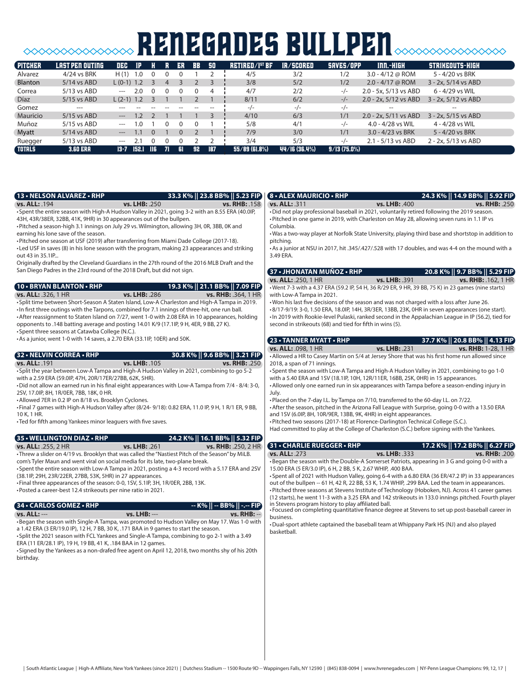# **SOOOOOOOOOOOOOOO RENEGADES BULLPEN**SOOOOOOOOOOO

| <b>PITCHER</b> | LAST PEN OUTING | DEC          | <b>IP</b> |                          |              | ER   | <b>RR</b> | - 50 | RETIRED/I <sup>ST</sup> BF | <b>IR/SCORED</b> | SAVES/OPP      | $IM. - HIGH$            | STRIKEOUTS-HIGH        |
|----------------|-----------------|--------------|-----------|--------------------------|--------------|------|-----------|------|----------------------------|------------------|----------------|-------------------------|------------------------|
| Alvarez        | 4/24 vs BRK     | H(1)         | 1.0       |                          |              |      |           |      | 4/5                        | 3/2              | 1/2            | 3.0 - $4/12$ @ ROM      | 5 - 4/20 vs BRK        |
| Blanton        | $5/14$ vs ABD   | $L(0-1)$ 1.2 |           |                          | 4            |      |           |      | 3/8                        | 5/2              | 1/2            | $2.0 - 4/17$ @ ROM      | $3 - 2x$ , 5/14 vs ABD |
| Correa         | $5/13$ vs ABD   | $\cdots$     | 2.0       | 0                        |              |      | 0         | 4    | 4/7                        | 2/2              | -/-            | 2.0 - 5x, 5/13 vs ABD   | 6 - 4/29 vs WIL        |
| <b>Díaz</b>    | 5/15 vs ABD     | $L(2-1)$ 1.2 |           |                          |              |      |           |      | 8/11                       | 6/2              | $-/-$          | $2.0 - 2x, 5/12$ vs ABD | 3 - 2x, 5/12 vs ABD    |
| Gomez          | ---             |              |           |                          |              |      |           |      | $-/-$                      | $-/-$            | $-/-$          | $- -$                   | $- -$                  |
| Mauricio       | $5/15$ vs ABD   | $---$        | 1.2       |                          |              |      |           |      | 4/10                       | 6/3              | 1/1            | $2.0 - 2x, 5/11$ vs ABD | $3 - 2x$ , 5/15 vs ABD |
| Muñoz          | 5/15 vs ABD     | $---$        | l O       |                          |              |      |           |      | 5/8                        | 4/1              | $-/-$          | 4.0 - 4/28 vs WIL       | $4 - 4/28$ vs WIL      |
| Myatt          | $5/14$ vs ABD   | $---$        |           |                          |              |      |           |      | 7/9                        | 3/0              | 1/1            | $3.0 - 4/23$ vs BRK     | 5 - 4/20 vs BRK        |
| Ruegger        | $5/13$ vs ABD   | $---$        |           |                          |              |      |           |      | 3/4                        | 5/3              | $-/-$          | $2.1 - 5/13$ vs ABD     | 2 - 2x, 5/13 vs ABD    |
| <b>TOTALS</b>  | <b>3.60 ERA</b> | 13-7         | 152.1     | $\overline{\phantom{a}}$ | $\mathbf{u}$ | -GI. | 92        | 187  | $55/89$ (61.8%)            | 44/16 (36.4%)    | $9/13(75.0\%)$ |                         |                        |

| (13 • NELSON ALVAREZ • RHP                                                                                                                        | 33.3 K%    23.8 BB%    5.23 FIP                                                                                                                                                                 |                     | <b>8 • ALEX MAURICIO • RHP</b>                                                                                                                                                                          |               | 24.3 K%    14.9 BB%    5.92 FIP)                                                                     |
|---------------------------------------------------------------------------------------------------------------------------------------------------|-------------------------------------------------------------------------------------------------------------------------------------------------------------------------------------------------|---------------------|---------------------------------------------------------------------------------------------------------------------------------------------------------------------------------------------------------|---------------|------------------------------------------------------------------------------------------------------|
| vs. ALL: . 194                                                                                                                                    | vs. LHB: .250                                                                                                                                                                                   | vs. RHB: . 158      | vs. ALL: .311                                                                                                                                                                                           | vs. LHB: .400 | <b>vs. RHB: .250</b>                                                                                 |
| 43H, 43R/38ER, 32BB, 41K, 9HR) in 30 appearances out of the bullpen.                                                                              | • Spent the entire season with High-A Hudson Valley in 2021, going 3-2 with an 8.55 ERA (40.0IP,<br>• Pitched a season-high 3.1 innings on July 29 vs. Wilmington, allowing 3H, OR, 3BB, OK and |                     | . Did not play professional baseball in 2021, voluntarily retired following the 2019 season.<br>• Pitched in one game in 2019, with Charleston on May 28, allowing seven runs in 1.1 IP vs<br>Columbia. |               |                                                                                                      |
| earning his lone save of the season.                                                                                                              | • Pitched one season at USF (2019) after transferring from Miami Dade College (2017-18).                                                                                                        |                     | . Was a two-way player at Norfolk State University, playing third base and shortstop in addition to<br>pitching.                                                                                        |               |                                                                                                      |
| out 43 in 35.1IP                                                                                                                                  | • Led USF in saves (8) in his lone season with the program, making 23 appearances and striking                                                                                                  |                     | • As a junior at NSU in 2017, hit .345/.427/.528 with 17 doubles, and was 4-4 on the mound with a<br>3.49 ERA.                                                                                          |               |                                                                                                      |
| San Diego Padres in the 23rd round of the 2018 Draft, but did not sign.                                                                           | Originally drafted by the Cleveland Guardians in the 27th round of the 2016 MLB Draft and the                                                                                                   |                     | 37 • JHONATAN MUÑOZ • RHP                                                                                                                                                                               |               | 20.8 K%    9.7 BB%    5.29 FIP)                                                                      |
| <b>10 • BRYAN BLANTON • RHP</b>                                                                                                                   |                                                                                                                                                                                                 |                     | vs. ALL: .250, 1 HR                                                                                                                                                                                     | vs. LHB: .391 | vs. RHB: . 162, 1 HR                                                                                 |
|                                                                                                                                                   | 19.3 K%    21.1 BB%    7.09 FIP                                                                                                                                                                 |                     | . Went 7-3 with a 4.37 ERA (59.2 IP, 54 H, 36 R/29 ER, 9 HR, 39 BB, 75 K) in 23 games (nine starts)                                                                                                     |               |                                                                                                      |
| <b>vs. ALL: .326, 1 HR</b>                                                                                                                        | vs. LHB: .286<br>• Split time between Short-Season A Staten Island, Low-A Charleston and High-A Tampa in 2019.                                                                                  | vs. RHB: .364, 1 HR | with Low-A Tampa in 2021.<br>. Won his last five decisions of the season and was not charged with a loss after June 26.                                                                                 |               |                                                                                                      |
|                                                                                                                                                   | . In first three outings with the Tarpons, combined for 7.1 innings of three-hit, one run ball.                                                                                                 |                     | -8/17-9/19: 3-0, 1.50 ERA, 18.0IP, 14H, 3R/3ER, 13BB, 23K, 0HR in seven appearances (one start).                                                                                                        |               |                                                                                                      |
|                                                                                                                                                   | • After reassignment to Staten Island on 7/27, went 1-0 with 2.08 ERA in 10 appearances, holding                                                                                                |                     | . In 2019 with Rookie-level Pulaski, ranked second in the Appalachian League in IP (56.2), tied for                                                                                                     |               |                                                                                                      |
| • Spent three seasons at Catawba College (N.C.).                                                                                                  | opponents to .148 batting average and posting 14.01 K/9 (17.1lP, 9 H, 4ER, 9 BB, 27 K).                                                                                                         |                     | second in strikeouts (68) and tied for fifth in wins (5).                                                                                                                                               |               |                                                                                                      |
| • As a junior, went 1-0 with 14 saves, a 2.70 ERA (33.1IP, 10ER) and 50K.                                                                         |                                                                                                                                                                                                 |                     | 23 • TANNER MYATT • RHP                                                                                                                                                                                 |               | 37.7 K%    20.8 BB%    4.13 FIP                                                                      |
|                                                                                                                                                   |                                                                                                                                                                                                 |                     | vs. ALL: .098, 1 HR                                                                                                                                                                                     | vs. LHB: .231 | vs. RHB: 1-28, 1 HR                                                                                  |
| 32 • NELVIN CORREA • RHP                                                                                                                          | 30.8 K%    9.6 BB%    3.21 FIP                                                                                                                                                                  |                     | • Allowed a HR to Casey Martin on 5/4 at Jersey Shore that was his first home run allowed since                                                                                                         |               |                                                                                                      |
| vs. ALL: . 191                                                                                                                                    | vs. LHB: . 105                                                                                                                                                                                  | vs. RHB: .250       | 2018, a span of 71 innings.                                                                                                                                                                             |               |                                                                                                      |
|                                                                                                                                                   | • Split the year between Low-A Tampa and High-A Hudson Valley in 2021, combining to go 5-2                                                                                                      |                     | • Spent the season with Low-A Tampa and High-A Hudson Valley in 2021, combining to go 1-0                                                                                                               |               |                                                                                                      |
| with a 2.59 ERA (59.0IP, 47H, 20R/17ER/27BB, 62K, 5HR).                                                                                           |                                                                                                                                                                                                 |                     | with a 5.40 ERA and 1SV (18.1IP, 10H, 12R/11ER, 16BB, 25K, 0HR) in 15 appearances.                                                                                                                      |               |                                                                                                      |
|                                                                                                                                                   | • Did not allow an earned run in his final eight appearances with Low-A Tampa from 7/4 - 8/4: 3-0,                                                                                              |                     | • Allowed only one earned run in six appearances with Tampa before a season-ending injury in                                                                                                            |               |                                                                                                      |
| 2SV, 17.0IP, 8H, 1R/0ER, 7BB, 18K, 0 HR.<br>• Allowed 7ER in 0.2 IP on 8/18 vs. Brooklyn Cyclones.                                                |                                                                                                                                                                                                 |                     | July.<br>•Placed on the 7-day I.L. by Tampa on 7/10, transferred to the 60-day I.L. on 7/22.                                                                                                            |               |                                                                                                      |
|                                                                                                                                                   | . Final 7 games with High-A Hudson Valley after (8/24-9/18): 0.82 ERA, 11.0 IP, 9 H, 1 R/1 ER, 9 BB,                                                                                            |                     | • After the season, pitched in the Arizona Fall League with Surprise, going 0-0 with a 13.50 ERA                                                                                                        |               |                                                                                                      |
| 10 K, 1 HR.                                                                                                                                       |                                                                                                                                                                                                 |                     | and 1SV (6.0IP, 8H, 10R/9ER, 13BB, 9K, 4HR) in eight appearances.                                                                                                                                       |               |                                                                                                      |
| • Ted for fifth among Yankees minor leaguers with five saves.                                                                                     |                                                                                                                                                                                                 |                     | . Pitched two seasons (2017-18) at Florence-Darlington Technical College (S.C.).                                                                                                                        |               |                                                                                                      |
|                                                                                                                                                   |                                                                                                                                                                                                 |                     | Had committed to play at the College of Charleston (S.C.) before signing with the Yankees.                                                                                                              |               |                                                                                                      |
| 35 • WELLINGTON DIAZ • RHP                                                                                                                        | 24.2 K%    16.1 BB%    5.32 FIP                                                                                                                                                                 |                     |                                                                                                                                                                                                         |               |                                                                                                      |
| vs. ALL: .255, 2 HR                                                                                                                               | vs. LHB: . 261                                                                                                                                                                                  | vs. RHB: .250, 2 HR | 31 . CHARLIE RUEGGER . RHP                                                                                                                                                                              |               | 17.2 K%    17.2 BB%    6.27 FIP                                                                      |
|                                                                                                                                                   | • Threw a slider on 4/19 vs. Brooklyn that was called the "Nastiest Pitch of the Season" by MiLB.                                                                                               |                     | vs. ALL: .273                                                                                                                                                                                           | vs. LHB: .333 | vs. RHB: . 200                                                                                       |
| com's Tyler Maun and went viral on social media for its late, two-plane break.                                                                    |                                                                                                                                                                                                 |                     | •Began the season with the Double-A Somerset Patriots, appearing in 3 G and going 0-0 with a                                                                                                            |               |                                                                                                      |
|                                                                                                                                                   | • Spent the entire season with Low-A Tampa in 2021, posting a 4-3 record with a 5.17 ERA and 2SV                                                                                                |                     | 15.00 ERA (5 ER/3.0 IP), 6 H, 2 BB, 5 K, 2.67 WHIP, .400 BAA.                                                                                                                                           |               |                                                                                                      |
| (38.1IP, 29H, 23R/22ER, 27BB, 53K, 5HR) in 27 appearances.                                                                                        |                                                                                                                                                                                                 |                     | • Spent all of 2021 with Hudson Valley, going 6-4 with a 6.80 ERA (36 ER/47.2 IP) in 33 appearances                                                                                                     |               |                                                                                                      |
| . Final three appearances of the season: 0-0, 1SV, 5.1IP, 3H, 1R/0ER, 2BB, 13K.<br>• Posted a career-best 12.4 strikeouts per nine ratio in 2021. |                                                                                                                                                                                                 |                     | out of the bullpen -- 61 H, 42 R, 22 BB, 53 K, 1.74 WHIP, .299 BAA. Led the team in appearances.<br>• Pitched three seasons at Stevens Institute of Technology (Hoboken, NJ). Across 41 career games    |               |                                                                                                      |
|                                                                                                                                                   |                                                                                                                                                                                                 |                     |                                                                                                                                                                                                         |               | (12 starts), he went 11-3 with a 3.25 ERA and 142 strikeouts in 133.0 innings pitched. Fourth player |
| 34 • CARLOS GOMEZ • RHP                                                                                                                           | -- K%<br>$BB\%$                                                                                                                                                                                 | -.-- FIP            | in Stevens program history to play affiliated ball.                                                                                                                                                     |               |                                                                                                      |
| <b>vs. ALL: ---</b>                                                                                                                               | vs. LHB: ---                                                                                                                                                                                    | <b>vs. RHB: --</b>  | • Focused on completing quantitative finance degree at Stevens to set up post-baseball career in                                                                                                        |               |                                                                                                      |
|                                                                                                                                                   | •Began the season with Single-A Tampa, was promoted to Hudson Valley on May 17. Was 1-0 with                                                                                                    |                     | business.                                                                                                                                                                                               |               |                                                                                                      |
|                                                                                                                                                   | a 1.42 ERA (3 ER/19.0 IP), 12 H, 7 BB, 30 K, .171 BAA in 9 games to start the season.                                                                                                           |                     | •Dual-sport athlete captained the baseball team at Whippany Park HS (NJ) and also played<br>basketball.                                                                                                 |               |                                                                                                      |
|                                                                                                                                                   | • Split the 2021 season with FCL Yankees and Single-A Tampa, combining to go 2-1 with a 3.49                                                                                                    |                     |                                                                                                                                                                                                         |               |                                                                                                      |
| ERA (11 ER/28.1 IP), 19 H, 19 BB, 41 K, .184 BAA in 12 games.                                                                                     |                                                                                                                                                                                                 |                     |                                                                                                                                                                                                         |               |                                                                                                      |
|                                                                                                                                                   | • Signed by the Yankees as a non-drafed free agent on April 12, 2018, two months shy of his 20th                                                                                                |                     |                                                                                                                                                                                                         |               |                                                                                                      |
| birthday.                                                                                                                                         |                                                                                                                                                                                                 |                     |                                                                                                                                                                                                         |               |                                                                                                      |
|                                                                                                                                                   |                                                                                                                                                                                                 |                     |                                                                                                                                                                                                         |               |                                                                                                      |
|                                                                                                                                                   |                                                                                                                                                                                                 |                     |                                                                                                                                                                                                         |               |                                                                                                      |
|                                                                                                                                                   |                                                                                                                                                                                                 |                     |                                                                                                                                                                                                         |               |                                                                                                      |
|                                                                                                                                                   |                                                                                                                                                                                                 |                     |                                                                                                                                                                                                         |               |                                                                                                      |
|                                                                                                                                                   |                                                                                                                                                                                                 |                     |                                                                                                                                                                                                         |               |                                                                                                      |
|                                                                                                                                                   |                                                                                                                                                                                                 |                     |                                                                                                                                                                                                         |               |                                                                                                      |
|                                                                                                                                                   |                                                                                                                                                                                                 |                     |                                                                                                                                                                                                         |               |                                                                                                      |
|                                                                                                                                                   |                                                                                                                                                                                                 |                     |                                                                                                                                                                                                         |               |                                                                                                      |
|                                                                                                                                                   |                                                                                                                                                                                                 |                     |                                                                                                                                                                                                         |               |                                                                                                      |
|                                                                                                                                                   |                                                                                                                                                                                                 |                     |                                                                                                                                                                                                         |               |                                                                                                      |
|                                                                                                                                                   |                                                                                                                                                                                                 |                     |                                                                                                                                                                                                         |               |                                                                                                      |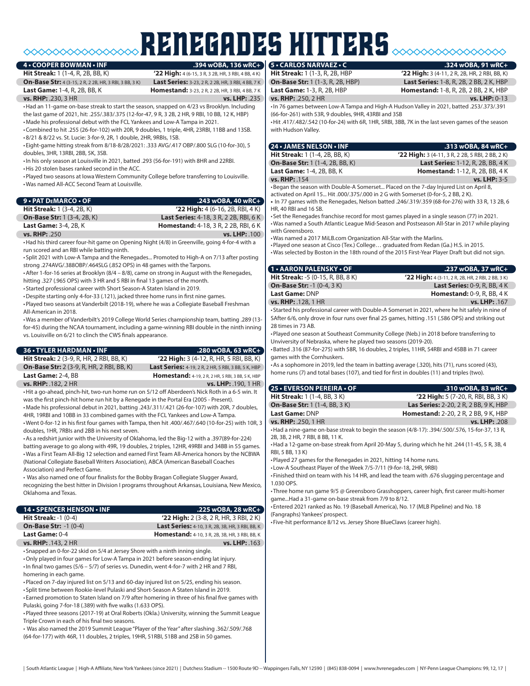# RENEGADES hitters **5 • CARLOS NARVAEZ • C .324 wOBA, 91 wRC+**

#### **4 • COOPER BOWMAN • INF**

**On-Base Str:** 4 (3-15, 2 R, 2 2B, HR, 3 RBI, 3 BB, 3 K) **Last Series:** 3-23, 2 R, 2 2B, HR, 3 RBI, 4 BB, 7 K **Last Game:** 1-4, R, 2B, BB, K **Homestand:** 3-23, 2 R, 2 2B, HR, 3 RBI, 4 BB, 7 K

**Hit Streak:** 1 (1-4, R, 2B, BB, K) **'22 High:** 4 (6-15, 3 R, 3 2B, HR, 3 RBI, 4 BB, 4 K)

**vs. RHP:** .230, 3 HR **vs. LHP:** .235

•Had an 11-game on-base streak to start the season, snapped on 4/23 vs Brooklyn. Including the last game of 2021, hit: .255/.383/.375 (12-for-47, 9 R, 3 2B, 2 HR, 9 RBI, 10 BB, 12 K, HBP) •Made his professional debut with the FCL Yankees and Low-A Tampa in 2021.

•Combined to hit .255 (26-for-102) with 20R, 9 doubles, 1 triple, 4HR, 23RBI, 11BB and 13SB. •8/21 & 8/22 vs. St. Lucie: 3-for-9, 2R, 1 double, 2HR, 9RBIs, 1SB.

• Eight-game hitting streak from 8/18-8/28/2021: .333 AVG/.417 OBP/.800 SLG (10-for-30), 5 doubles, 3HR, 13RBI, 2BB, 5K, 3SB.

•In his only season at Louisville in 2021, batted .293 (56-for-191) with 8HR and 22RBI.

•His 20 stolen bases ranked second in the ACC.

•Played two seasons at Iowa Western Community College before transferring to Louisville. •Was named All-ACC Second Team at Louisville.

| $9 \cdot$ PAT DEMARCO $\cdot$ OF   | $.243$ wOBA, 40 wRC+                          |
|------------------------------------|-----------------------------------------------|
| <b>Hit Streak:</b> 1 (3-4, 2B, K)  | $'22$ High: 4 (6-16, 2B, RBI, 4 K)            |
| <b>On-Base Str:</b> 1 (3-4, 2B, K) | <b>Last Series:</b> 4-18, 3 R, 2 2B, RBI, 6 K |
| <b>Last Game: 3-4, 2B, K</b>       | <b>Homestand:</b> 4-18, 3 R, 2 2B, RBI, 6 K   |
| <b>vs. RHP: .250</b>               | <b>vs. LHP: . 100</b>                         |

•Had his third career four-hit game on Opening Night (4/8) in Greenville, going 4-for-4 with a run scored and an RBI while batting ninth.

• Split 2021 with Low-A Tampa and the Renegades... Promoted to High-A on 7/13 after posting strong .274AVG/.388OBP/.464SLG (.852 OPS) in 48 games with the Tarpons.

•After 1-for-16 series at Brooklyn (8/4 – 8/8), came on strong in August with the Renegades, hitting .327 (.965 OPS) with 3 HR and 5 RBI in final 13 games of the month.

• Started professional career with Short Season-A Staten Island in 2019.

•Despite starting only 4-for-33 (.121), jacked three home runs in first nine games.

•Played two seasons at Vanderbilt (2018-19), where he was a Collegiate Baseball Freshman All-American in 2018.

•Was a member of Vanderbilt's 2019 College World Series championship team, batting .289 (13 for-45) during the NCAA tournament, including a game-winning RBI double in the ninth inning vs. Louisville on 6/21 to clinch the CWS finals appearance.

| 36 • TYLER HARDMAN • INF                                                                                                                                                                         | .280 wOBA, 63 wRC+                                       |
|--------------------------------------------------------------------------------------------------------------------------------------------------------------------------------------------------|----------------------------------------------------------|
| <b>Hit Streak:</b> 2 (3-9, R, HR, 2 RBI, BB, K)                                                                                                                                                  | <b>'22 High:</b> 3 (4-12, R, HR, 5 RBI, BB, K)           |
| <b>On-Base Str:</b> 2 (3-9, R, HR, 2 RBI, BB, K)                                                                                                                                                 | Last Series: 4-19, 2 R, 2 HR, 5 RBI, 3 BB, 5 K, HBP      |
| Last Game: 2-4, BB                                                                                                                                                                               | <b>Homestand:</b> 4-19, 2 R, 2 HR, 5 RBI, 3 BB, 5 K, HBP |
| vs. RHP: . 182, 2 HR                                                                                                                                                                             | vs. LHP: . 190, 1 HR                                     |
| •Hit a go-ahead, pinch-hit, two-run home run on 5/12 off Aberdeen's Nick Roth in a 6-5 win. It                                                                                                   |                                                          |
| was the first pinch-hit home run hit by a Renegade in the Portal Era (2005 - Present).                                                                                                           |                                                          |
| •Made his professional debut in 2021, batting .243/.311/.421 (26-for-107) with 20R, 7 doubles,                                                                                                   |                                                          |
| 4HR, 19RBI and 10BB in 33 combined games with the FCL Yankees and Low-A Tampa.                                                                                                                   |                                                          |
| . Went 0-for-12 in his first four games with Tampa, then hit .400/.467/.640 (10-for-25) with 10R, 3                                                                                              |                                                          |
| doubles, 1HR, 7RBIs and 2BB in his next seven.                                                                                                                                                   |                                                          |
| • As a redshirt junior with the University of Oklahoma, led the Big-12 with a .397(89-for-224)<br>batting average to go along with 49R, 19 doubles, 2 triples, 12HR, 49RBI and 34BB in 55 games. |                                                          |
| • Was a First Team All-Big 12 selection and earned First Team All-America honors by the NCBWA                                                                                                    |                                                          |
| (National Collegiate Baseball Writers Association), ABCA (American Baseball Coaches                                                                                                              |                                                          |
| Association) and Perfect Game.                                                                                                                                                                   |                                                          |
| • Was also named one of four finalists for the Bobby Bragan Collegiate Slugger Award,                                                                                                            |                                                          |
| recognizing the best hitter in Division I programs throughout Arkansas, Louisiana, New Mexico,                                                                                                   |                                                          |
| Oklahoma and Texas.                                                                                                                                                                              |                                                          |
|                                                                                                                                                                                                  |                                                          |
| 14 · SPENCER HENSON · INF                                                                                                                                                                        | .225 wOBA, 28 wRC+                                       |
| <b>Hit Streak: -1 (0-4)</b>                                                                                                                                                                      | $'22$ High: 2 (3-8, 2 R, HR, 3 RBI, 2 K)                 |
| <b>On-Base Str: -1 (0-4)</b>                                                                                                                                                                     | Last Series: 4-10, 3 R, 2B, 3B, HR, 3 RBI, BB, K         |
| Last Game: 0-4                                                                                                                                                                                   | Homestand: 4-10, 3 R, 2B, 3B, HR, 3 RBI, BB, K           |
| vs. RHP: . 143, 2 HR                                                                                                                                                                             | vs. LHP: . 163                                           |
| • Snapped an 0-for-22 skid on 5/4 at Jersey Shore with a ninth inning single.                                                                                                                    |                                                          |
| •Only played in four games for Low-A Tampa in 2021 before season-ending lat injury.                                                                                                              |                                                          |
| $\cdot$ In final two games (5/6 – 5/7) of series vs. Dunedin, went 4-for-7 with 2 HR and 7 RBI,                                                                                                  |                                                          |
| homering in each game.                                                                                                                                                                           |                                                          |

•Placed on 7-day injured list on 5/13 and 60-day injured list on 5/25, ending his season.

• Split time between Rookie-level Pulaski and Short-Season A Staten Island in 2019.

• Earned promotion to Staten Island on 7/9 after homering in three of his final five games with Pulaski, going 7-for-18 (.389) with five walks (1.633 OPS).

•Played three seasons (2017-19) at Oral Roberts (Okla.) University, winning the Summit League Triple Crown in each of his final two seasons.

• Was also named the 2019 Summit League "Player of the Year" after slashing .362/.509/.768 (64-for-177) with 46R, 11 doubles, 2 triples, 19HR, 51RBI, 51BB and 2SB in 50 games.

**Hit Streak:** 1 (1-3, R, 2B, HBP **'22 High:** 3 (4-11, 2 R, 2B, HR, 2 RBI, BB, K) **On-Base Str:** 1 (1-3, R, 2B, HBP) **Last Series:** 1-8, R, 2B, 2 BB, 2 K, HBP **Homestand:** 1-8, R, 2B, 2 BB, 2 K, HBP **vs. RHP:** .250, 2 HR **vs. LHP:** 0-13

•In 76 games between Low-A Tampa and High-A Hudson Valley in 2021, batted .253/.373/.391 (66-for-261) with 53R, 9 doubles, 9HR, 43RBI and 3SB

•Hit .417/.482/.542 (10-for-24) with 6R, 1HR, 5RBI, 3BB, 7K in the last seven games of the season with Hudson Valley.

| <b>24 • JAMES NELSON • INF</b>                                                                                        | .313 wOBA, 84 wRC+                                |
|-----------------------------------------------------------------------------------------------------------------------|---------------------------------------------------|
| <b>Hit Streak:</b> 1 (1-4, 2B, BB, K)                                                                                 | $'22$ High: 3 (4-11, 3 R, 2 2B, 5 RBI, 2 BB, 2 K) |
| <b>On-Base Str:</b> 1 (1-4, 2B, BB, K)                                                                                | <b>Last Series: 1-12, R, 2B, BB, 4 K</b>          |
| <b>Last Game: 1-4, 2B, BB, K</b>                                                                                      | <b>Homestand:</b> 1-12, R, 2B, BB, 4 K            |
| vs. RHP: 154                                                                                                          | <b>vs. LHP: 3-5</b>                               |
| <b>Registered</b> List on April 18, and the season with Double-A Somercet Placed on the 7-day Injured List on April 8 |                                                   |

•Began the season with Double-A Somerset... Placed on the 7-day Injured List on April 8, activated on April 15... Hit .000/.375/.000 in 2 G with Somerset (0-for-5, 2 BB, 2 K).

**•** In 77 games with the Renegades, Nelson batted .246/.319/.359 (68-for-276) with 33 R, 13 2B, 6 HR, 40 RBI and 16 SB.

• Set the Renegades franchise record for most games played in a single season (77) in 2021. •Was named a South Atlantic League Mid-Season and Postseason All-Star in 2017 while playing with Greensboro.

•Was named a 2017 MiLB.com Organization All-Star with the Marlins.

•Played one season at Cisco (Tex.) College… graduated from Redan (Ga.) H.S. in 2015. •Was selected by Boston in the 18th round of the 2015 First-Year Player Draft but did not sign.

| <b>1 • AARON PALENSKY • OF</b>           | .237 wOBA, 37 wRC+                                       |
|------------------------------------------|----------------------------------------------------------|
| <b>Hit Streak: -5 (0-15, R, BB, 8 K)</b> | <b>'22 High:</b> 4 (3-11, 2 R, 2B, HR, 2 RBI, 2 BB, 3 K) |
| <b>On-Base Str: -1 (0-4, 3 K)</b>        | <b>Last Series: 0-9, R, BB, 4 K</b>                      |
| Last Game: DNP                           | <b>Homestand: 0-9, R, BB, 4 K</b>                        |
| <b>vs. RHP: .128, 1 HR</b>               | vs. LHP: . 167                                           |
|                                          |                                                          |

• Started his professional career with Double-A Somerset in 2021, where he hit safely in nine of SAfter 6/6, only drove in four runs over final 25 games, hitting .151 (.586 OPS) and striking out 28 times in 73 AB.

•Played one season at Southeast Community College (Neb.) in 2018 before transferring to Unviversity of Nebraska, where he played two seasons (2019-20).

•Batted .316 (87-for-275) with 58R, 16 doubles, 2 triples, 11HR, 54RBI and 45BB in 71 career games with the Cornhuskers.

•As a sophomore in 2019, led the team in batting average (.320), hits (71), runs scored (43), home runs (7) and total bases (107), and tied for first in doubles (11) and triples (two).

| 25 • EVERSON PEREIRA • OF            | .310 wOBA, 83 wRC+                                                                           |
|--------------------------------------|----------------------------------------------------------------------------------------------|
| <b>Hit Streak:</b> 1 (1-4, BB, 3 K)  | '22 High: 5 (7-20, R, RBI, BB, 3 K)                                                          |
| <b>On-Base Str:</b> 1 (1-4, BB, 3 K) | <b>Las Series: 2-20, 2 R, 2 BB, 9 K, HBP</b>                                                 |
| Last Game: DNP                       | <b>Homestand: 2-20, 2 R, 2 BB, 9 K, HBP</b>                                                  |
| <b>vs. RHP: .250, 1 HR</b>           | vs. LHP: .208                                                                                |
|                                      | $-$ Had a nine-game on-base streak to begin the season $(1/8-17)$ 301/500/576 15-for-37 13 R |

begin the season (4/8-17): .394/.500/.576, 15-for-37, 13 R, 2B, 3B, 2 HR, 7 RBI, 8 BB, 11 K.

•Had a 12-game on-base streak from April 20-May 5, during which he hit .244 (11-45, 5 R, 3B, 4 RBI, 5 BB, 13 K)

•Played 27 games for the Renegades in 2021, hitting 14 home runs.

• Low-A Southeast Player of the Week 7/5-7/11 (9-for-18, 2HR, 9RBI)

• Finished third on team with his 14 HR, and lead the team with .676 slugging percentage and 1.030 OPS.

• Three home run game 9/5 @ Greensboro Grasshoppers, career high, first career multi-homer game...Had a 31-game on-base streak from 7/9 to 8/12.

• Entered 2021 ranked as No. 19 (Baseball America), No. 17 (MLB Pipeline) and No. 18 (Fangraphs) Yankees' prospect.

• Five-hit performance 8/12 vs. Jersey Shore BlueClaws (career high).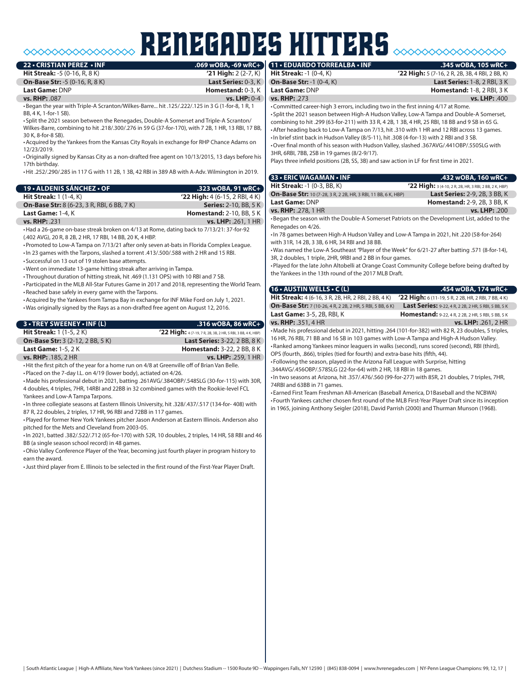# **RENEGADES HITTERS 1245 wOBA**

| 22 • CRISTIAN PEREZ • INF                 |                                    | .069 wOBA, -69 wRC+ 11 . EDUARDO TORREALBA . INF     |
|-------------------------------------------|------------------------------------|------------------------------------------------------|
| <b>Hit Streak: -5 (0-16, R, 8 K)</b>      |                                    | '21 High: $2(2-7, K)$   Hit Streak: -1 (0-4, K)      |
| <b>On-Base Str: -5 (0-16, R, 8 K)</b>     |                                    | <b>Last Series: 0-3, K Con-Base Str: -1 (0-4, K)</b> |
| Last Game: DNP                            | Homestand: 0-3, K   Last Game: DNP |                                                      |
| <b>vs. RHP: .087</b>                      | $vs. LHP: 0-4$                     | <b>vs. RHP: .273</b>                                 |
| $\sim$ $\sim$ $\sim$ $\sim$ $\sim$ $\sim$ |                                    |                                                      |

•Began the year with Triple-A Scranton/Wilkes-Barre... hit .125/.222/.125 in 3 G (1-for-8, 1 R, 1 BB, 4 K, 1-for-1 SB).

• Split the 2021 season between the Renegades, Double-A Somerset and Triple-A Scranton/ Wilkes-Barre, combining to hit .218/.300/.276 in 59 G (37-for-170), with 7 2B, 1 HR, 13 RBI, 17 BB, 30 K, 8-for-8 SB).

•Acquired by the Yankees from the Kansas City Royals in exchange for RHP Chance Adams on 12/23/2019.

•Originally signed by Kansas City as a non-drafted free agent on 10/13/2015, 13 days before his 17th birthday.

•Hit .252/.290/.285 in 117 G with 11 2B, 1 3B, 42 RBI in 389 AB with A-Adv. Wilmington in 2019.

| 19 • ALDENIS SÁNCHEZ • OF                         | .323 wOBA, 91 wRC+               |
|---------------------------------------------------|----------------------------------|
| <b>Hit Streak:</b> $1(1-4, K)$                    | $'22$ High: 4 (6-15, 2 RBI, 4 K) |
| <b>On-Base Str:</b> 8 (6-23, 3 R, RBI, 6 BB, 7 K) | <b>Series: 2-10, BB, 5 K</b>     |
| Last Game: 1-4, K                                 | <b>Homestand: 2-10, BB, 5 K</b>  |
| <b>vs. RHP: .231</b>                              | vs. LHP: .261, 1 HR              |

•Had a 26-game on-base streak broken on 4/13 at Rome, dating back to 7/13/21: 37-for-92 (.402 AVG), 20 R, 8 2B, 2 HR, 17 RBI, 14 BB, 20 K, 4 HBP.

•Promoted to Low-A Tampa on 7/13/21 after only seven at-bats in Florida Complex League.

•In 23 games with the Tarpons, slashed a torrent .413/.500/.588 with 2 HR and 15 RBI.

• Successful on 13 out of 19 stolen base attempts.

•Went on immediate 13-game hitting streak after arriving in Tampa.

• Throughout duration of hitting streak, hit .469 (1.131 OPS) with 10 RBI and 7 SB. •Participated in the MLB All-Star Futures Game in 2017 and 2018, representing the World Team.

•Reached base safely in every game with the Tarpons. •Acquired by the Yankees from Tampa Bay in exchange for INF Mike Ford on July 1, 2021.

•Was originally signed by the Rays as a non-drafted free agent on August 12, 2016.

**3 • TREY SWEENEY • INF (L) .316 wOBA, 86 wRC+ Hit Streak:** 1 (1-5, 2 K) **'22 High:** 4 (7-19, 7 R, 2B, 3B, 2 HR, 5 RBI, 3 BB, 4 K, HBP) **On-Base Str:** 3 (2-12, 2 BB, 5 K) **Last Series:** 3-22, 2 BB, 8 K **Last Game:** 1-5, 2 K<br> **vs. RHP:** .185, 2 HR<br> **vs. LHP:** .259, 1 HR **vs. LHP: .259, 1 HR** 

•Hit the first pitch of the year for a home run on 4/8 at Greenville off of Brian Van Belle.

•Placed on the 7-day I.L. on 4/19 (lower body), actiated on 4/26.

•Made his professional debut in 2021, batting .261AVG/.384OBP/.548SLG (30-for-115) with 30R, 4 doubles, 4 triples, 7HR, 14RBI and 22BB in 32 combined games with the Rookie-level FCL Yankees and Low-A Tampa Tarpons.

•In three collegiate seasons at Eastern Illinois University, hit .328/.437/.517 (134-for- 408) with 87 R, 22 doubles, 2 triples, 17 HR, 96 RBI and 72BB in 117 games.

•Played for former New York Yankees pitcher Jason Anderson at Eastern Illinois. Anderson also pitched for the Mets and Cleveland from 2003-05.

•In 2021, batted .382/.522/.712 (65-for-170) with 52R, 10 doubles, 2 triples, 14 HR, 58 RBI and 46 BB (a single season school record) in 48 games.

•Ohio Valley Conference Player of the Year, becoming just fourth player in program history to earn the award.

•Just third player from E. Illinois to be selected in the first round of the First-Year Player Draft.

**22 High:** 5 (7-16, 2 R, 2B, 3B, 4 RBI, 2 BB, K) **Last Series:** 1-8, 2 RBI, 3 K **Homestand: 1-8, 2 RBI, 3 K vs. RHP:** .273 **vs. LHP:** .400

•Committed career-high 3 errors, including two in the first inning 4/17 at Rome. • Split the 2021 season between High-A Hudson Valley, Low-A Tampa and Double-A Somerset, combining to hit .299 (63-for-211) with 33 R, 4 2B, 1 3B, 4 HR, 25 RBI, 18 BB and 9 SB in 65 G. •After heading back to Low-A Tampa on 7/13, hit .310 with 1 HR and 12 RBI across 13 games. •In brief stint back in Hudson Valley (8/5-11), hit .308 (4-for-13) with 2 RBI and 3 SB. •Over final month of his season with Hudson Valley, slashed .367AVG/.441OBP/.550SLG with 3HR, 6RBI, 7BB, 2SB in 19 games (8/2-9/17).

Plays three infield positions (2B, SS, 3B) and saw action in LF for first time in 2021.

| 33 • ERIC WAGAMAN • INF                                                                      | .432 wOBA, 160 wRC+                                    |
|----------------------------------------------------------------------------------------------|--------------------------------------------------------|
| <b>Hit Streak: -1 (0-3, BB, K)</b>                                                           | '22 High: 3 (4-10, 2 R, 2B, HR, 3 RBI, 2 BB, 2 K, HBP) |
| <b>On-Base Str:</b> 10 (7-28, 3 R, 2 2B, HR, 3 RBI, 11 BB, 6 K, HBP)                         | Last Series: 2-9, 2B, 3 BB, K                          |
| Last Game: DNP                                                                               | <b>Homestand:</b> 2-9, 2B, 3 BB, K                     |
| vs. RHP: .278, 1 HR                                                                          | vs. LHP: .200                                          |
| . Began the season with the Double-A Somerset Patriots on the Development List, added to the |                                                        |
| Renegades on 4/26.                                                                           |                                                        |
| • In 78 games between High-A Hudson Valley and Low-A Tampa in 2021, hit .220 (58-for-264)    |                                                        |

with 31R, 14 2B, 3 3B, 6 HR, 34 RBI and 38 BB.

•Was named the Low-A Southeast *"*Player of the Week" for 6/21-27 after batting .571 (8-for-14), 3R, 2 doubles, 1 triple, 2HR, 9RBI and 2 BB in four games.

•Played for the late John Altobelli at Orange Coast Community College before being drafted by the Yankees in the 13th round of the 2017 MLB Draft.

#### **16 • AUSTIN WELLS • C (L) .454 wOBA, 174 wRC+ Hit Streak:** 4 (6-16, 3 R, 2B, HR, 2 RBI, 2 BB, 4 K) **'22 High:** 6 (11-19, 5 R, 2 2B, HR, 2 RBI, 7 BB, 4 K)

**On-Base Str:** 7 (10-26, 4 R, 2 2B, 2 HR, 5 RBI, 5 BB, 6 K) **Last Series:** 9-22, 4 R, 2 2B, 2 HR, 5 RBI, 5 BB, 5 K **Last Game:** 3-5, 2B, RBI, K **Homestand: 3-22, 4 R, 2 2B, 2 HR, 5 RB**, 5 RB, 5 KK **vs. RHP:** .351, 4 HR **vs. LHP:** .261, 2 HR

•Made his professional debut in 2021, hitting .264 (101-for-382) with 82 R, 23 doubles, 5 triples, 16 HR, 76 RBI, 71 BB and 16 SB in 103 games with Low-A Tampa and High-A Hudson Valley. •Ranked among Yankees minor leaguers in walks (second), runs scored (second), RBI (third),

OPS (fourth, .866), triples (tied for fourth) and extra-base hits (fifth, 44). • Following the season, played in the Arizona Fall League with Surprise, hitting

.344AVG/.456OBP/.578SLG (22-for-64) with 2 HR, 18 RBI in 18 games.

•In two seasons at Arizona, hit .357/.476/.560 (99-for-277) with 85R, 21 doubles, 7 triples, 7HR, 74RBI and 63BB in 71 games.

• Earned First Team Freshman All-American (Baseball America, D1Baseball and the NCBWA) • Fourth Yankees catcher chosen first round of the MLB First-Year Player Draft since its inception in 1965, joining Anthony Seigler (2018), David Parrish (2000) and Thurman Munson (1968).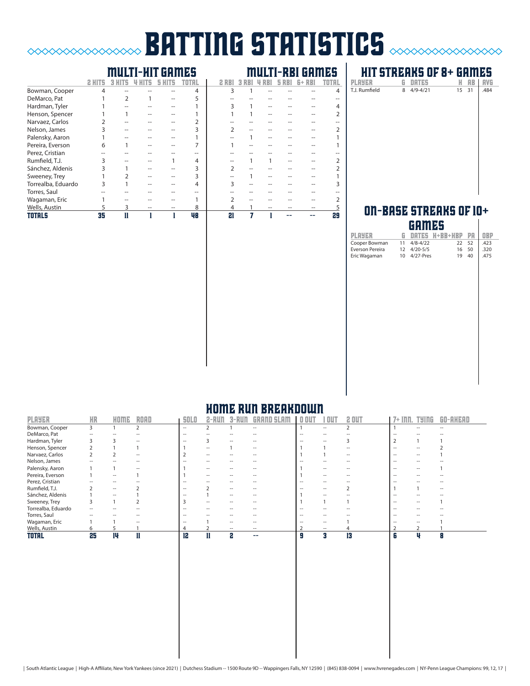# **BATTING STATISTICS**  $\infty$

# multi-hit games multi-rbi games

|                    | 2 H |  |    |    |  |  |    |
|--------------------|-----|--|----|----|--|--|----|
| Bowman, Cooper     | 4   |  | 4  | 3  |  |  |    |
| DeMarco, Pat       |     |  |    |    |  |  |    |
| Hardman, Tyler     |     |  |    |    |  |  |    |
| Henson, Spencer    |     |  |    |    |  |  |    |
| Narvaez, Carlos    |     |  |    |    |  |  |    |
| Nelson, James      |     |  |    |    |  |  |    |
| Palensky, Aaron    |     |  |    |    |  |  |    |
| Pereira, Everson   | 6   |  |    |    |  |  |    |
| Perez, Cristian    |     |  |    |    |  |  |    |
| Rumfield, T.J.     |     |  | 4  |    |  |  |    |
| Sánchez, Aldenis   |     |  | 3  |    |  |  |    |
| Sweeney, Trey      |     |  | 3  |    |  |  |    |
| Torrealba, Eduardo |     |  | 4  |    |  |  |    |
| Torres, Saul       |     |  |    |    |  |  |    |
| Wagaman, Eric      |     |  |    |    |  |  |    |
| Wells, Austin      | 5   |  | 8  |    |  |  |    |
| <b>TOTALS</b>      | 35  |  | 48 | 21 |  |  | 29 |

# **HIT STREAKS OF 8+ GAMES**<br>PLAYER G DATES H AB | AVG **PLAYER G DATES H AB AVG**<br>T.J. Rumfield 8 4/9-4/21 15 31 .484

| I<br>$15 \quad 31$<br>T.J. Rumfield<br>8 4/9-4/21 |  |  |      |
|---------------------------------------------------|--|--|------|
|                                                   |  |  | .484 |
|                                                   |  |  |      |

## ON-BASE STREAKS OF 10+ games

|                 |                  | ,,,,,,,,,,   |                   |    |            |
|-----------------|------------------|--------------|-------------------|----|------------|
| <b>PLAYER</b>   | G.               |              | DATES H+BB+HBP PA |    | <b>OBP</b> |
| Cooper Bowman   | 11               | $4/8 - 4/22$ | 22                | 52 | .423       |
| Everson Pereira |                  | 12 4/20-5/5  | 16                | 50 | .320       |
| Eric Wagaman    | 10 <sup>10</sup> | $4/27$ -Pres | 19                | 40 | .475       |
|                 |                  |              |                   |    |            |
|                 |                  |              |                   |    |            |
|                 |                  |              |                   |    |            |
|                 |                  |              |                   |    |            |
|                 |                  |              |                   |    |            |
|                 |                  |              |                   |    |            |
|                 |                  |              |                   |    |            |
|                 |                  |              |                   |    |            |
|                 |                  |              |                   |    |            |
|                 |                  |              |                   |    |            |
|                 |                  |              |                   |    |            |
|                 |                  |              |                   |    |            |
|                 |                  |              |                   |    |            |
|                 |                  |              |                   |    |            |
|                 |                  |              |                   |    |            |
|                 |                  |              |                   |    |            |
|                 |                  |              |                   |    |            |
|                 |                  |              |                   |    |            |
|                 |                  |              |                   |    |            |
|                 |                  |              |                   |    |            |
|                 |                  |              |                   |    |            |

# home run breakdown

| <b>PLAYER</b>      | <b>HR</b> | HOME                     | <b>ROAD</b> | <b>SOLO</b>              |                   |                          |                          | ou     |                          | 2 OUT                    | $7+$<br>Inn.      | TYINE | GO-AHEAD |
|--------------------|-----------|--------------------------|-------------|--------------------------|-------------------|--------------------------|--------------------------|--------|--------------------------|--------------------------|-------------------|-------|----------|
| Bowman, Cooper     | 3         |                          |             | $\hspace{0.05cm}$        |                   |                          | $\overline{\phantom{a}}$ |        | $\overline{\phantom{a}}$ |                          |                   |       | $ -$     |
| DeMarco, Pat       | $ -$      |                          |             | $\hspace{0.05cm}$        |                   |                          |                          | --     | --                       |                          | $\hspace{0.05cm}$ |       |          |
| Hardman, Tyler     |           |                          |             | $\sim$                   |                   |                          |                          | -      | $\overline{\phantom{a}}$ |                          |                   |       |          |
| Henson, Spencer    |           |                          |             |                          | $- -$             |                          | $\sim$                   |        |                          |                          | $\hspace{0.05cm}$ |       |          |
| Narvaez, Carlos    |           |                          |             |                          | $\hspace{0.05cm}$ | $\overline{\phantom{a}}$ |                          |        |                          | $\overline{\phantom{a}}$ | $\hspace{0.05cm}$ | --    |          |
| Nelson, James      |           |                          |             | -                        | --                |                          |                          |        | --                       |                          | $\hspace{0.05cm}$ |       |          |
| Palensky, Aaron    |           |                          |             |                          | $- -$             | $\overline{\phantom{a}}$ |                          |        | $\overline{\phantom{a}}$ |                          | $\hspace{0.05cm}$ |       |          |
| Pereira, Everson   |           | $ -$                     |             |                          | $\hspace{0.05cm}$ | $\overline{\phantom{a}}$ |                          |        | --                       | $\overline{\phantom{a}}$ | $\hspace{0.05cm}$ | --    | --       |
| Perez, Cristian    |           | $\overline{\phantom{a}}$ |             | $\overline{\phantom{a}}$ | --                | $\overline{\phantom{a}}$ |                          | $\sim$ | $- -$                    |                          | $\hspace{0.05cm}$ |       | --       |
| Rumfield, T.J.     |           | $ -$                     |             | $\hspace{0.05cm} -$      |                   | $\hspace{0.05cm}$        | --                       |        | --                       |                          |                   |       | --       |
| Sánchez, Aldenis   |           | $ -$                     |             |                          |                   | $\hspace{0.05cm}$        | --                       |        | --                       |                          | $\hspace{0.05cm}$ |       |          |
| Sweeney, Trey      |           |                          |             |                          | --                |                          |                          |        |                          |                          | $\hspace{0.05cm}$ |       |          |
| Torrealba, Eduardo | --        |                          |             | $\sim$                   |                   |                          |                          | --     | --                       |                          | $\hspace{0.05cm}$ |       |          |
| Torres, Saul       |           |                          |             | $\hspace{0.05cm}$        |                   |                          |                          | -      | --                       |                          | $\hspace{0.05cm}$ |       |          |
| Wagaman, Eric      |           |                          |             | $\overline{\phantom{a}}$ |                   | $\overline{\phantom{a}}$ |                          | --     | --                       |                          | $\hspace{0.05cm}$ |       |          |
| Wells, Austin      | 6         |                          |             |                          |                   |                          |                          |        | $ -$                     |                          |                   |       |          |
| <b>TOTAL</b>       | 25        | 14                       | П           | 12                       |                   | 2                        | --                       | Я      | я                        | 13                       | 6                 | Ш     | Я        |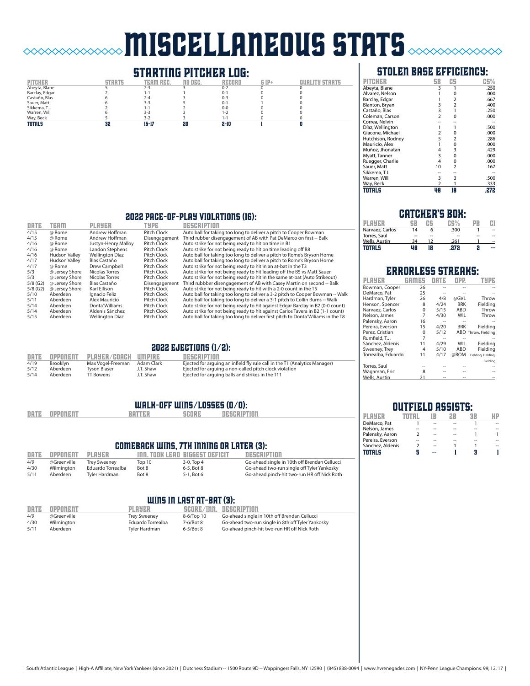# miscellaneous stats

# **STARTING PITCHER LOG:**<br>
TEAM REC. 30 DEC. RECORD



# stolen base efficiency:

| PITCHER           | SB             | CS             | CS%  |
|-------------------|----------------|----------------|------|
| Abeyta, Blane     | 3              |                | .250 |
| Alvarez, Nelson   |                | $\Omega$       | .000 |
| Barclay, Edgar    |                | 2              | .667 |
| Blanton, Bryan    | 3              | $\overline{2}$ | .400 |
| Castaño, Blas     | 3              | 1              | .250 |
| Coleman, Carson   | $\overline{2}$ | 0              | .000 |
| Correa, Nelvin    |                |                |      |
| Díaz, Wellington  |                |                | .500 |
| Giacone, Michael  | $\overline{2}$ | 0              | .000 |
| Hutchison, Rodney | 5              | 2              | .286 |
| Mauricio, Alex    | 1              | 0              | .000 |
| Muñoz, Jhonatan   | 4              | 3              | .429 |
| Myatt, Tanner     | 3              | 0              | .000 |
| Ruegger, Charlie  | 4              | $\Omega$       | .000 |
| Sauer, Matt       | 10             | 2              | .167 |
| Sikkema, T.J.     |                |                |      |
| Warren, Will      | 3              | 3              | .500 |
| Way, Beck         | $\overline{2}$ |                | .333 |
| TOTALS            | 48             | 18             | .272 |

### 2022 pace-of-play violations (16):

| DATE       | <b>TEAM</b>          | PLAYER                 | TYPE            | negreiptinn                                                                      |
|------------|----------------------|------------------------|-----------------|----------------------------------------------------------------------------------|
| 4/15       | @ Rome               | Andrew Hoffman         | Pitch Clock     | Auto ball for taking too long to deliver a pitch to Cooper Bowman                |
| 4/15       | @ Rome               | Andrew Hoffman         | Disengagement   | Third rubber disengagement of AB with Pat DeMarco on first -- Balk               |
| 4/16       | @ Rome               | Justyn-Henry Malloy    | Pitch Clock     | Auto strike for not being ready to hit on time in B1                             |
| 4/16       | @ Rome               | Landon Stephens        | Pitch Clock     | Auto strike for not being ready to hit on time leading off B8                    |
| 4/16       | <b>Hudson Valley</b> | Wellington Díaz        | Pitch Clock     | Auto ball for taking too long to deliver a pitch to Rome's Bryson Horne          |
| 4/17       | <b>Hudson Valley</b> | Blas Castaño           | Pitch Clock     | Auto ball for taking too long to deliver a pitch to Rome's Bryson Horne          |
| 4/17       | @ Rome               | Drew Campbell          | Pitch Clock     | Auto strike for not being ready to hit in an at-bat in the T3                    |
| 5/3        | @ Jersey Shore       | Nicolas Torres         | Pitch Clock     | Auto strike for not being ready to hit leading off the B5 vs Matt Sauer          |
| 5/3        | @ Jersey Shore       | Nicolas Torres         | Pitch Clock     | Auto strike for not being ready to hit in the same at-bat (Auto Strikeout)       |
| $5/8$ (G2) | @ Jersey Shore       | Blas Castaño           | Disengagement   | Third rubbber disengagement of AB with Casey Martin on second -- Balk            |
| $5/8$ (G2) | @ Jersey Shore       | Karl Ellison           | Pitch Clock     | Auto strike for not being ready to hit with a 2-0 count in the T5                |
| 5/10       | Aberdeen             | Ignacio Feliz          | Pitch Clock     | Auto ball for taking too long to deliver a 3-2 pitch to Cooper Bowman -- Walk    |
| 5/11       | Aberdeen             | Alex Mauricio          | Pitch Clock     | Auto ball for taking too long to deliver a 3-1 pitch to Collin Burns -- Walk     |
| 5/14       | Aberdeen             | Donta' Williams        | Pitch Clock     | Auto strike for not being ready to hit against Edgar Barclay in B2 (0-0 count)   |
| 5/14       | Aberdeen             | Aldenis Sánchez        | Pitch Clock     | Auto strike for not being ready to hit against Carlos Tavera in B2 (1-1 count)   |
| E/1E       | Abordoon             | <i>Mollington</i> Díaz | $Dirch$ $Cloch$ | Auto hall for taking too long to deliver first pitch to Donta'Williams in the TO |

 $\sim\sim\sim\sim\sim\sim$ 

| шите     | твиш                 | PLMOBK                 | ET P B        | 889681211111                                                                      |
|----------|----------------------|------------------------|---------------|-----------------------------------------------------------------------------------|
| 4/15     | @ Rome               | Andrew Hoffman         | Pitch Clock   | Auto ball for taking too long to deliver a pitch to Cooper Bowman                 |
| 4/15     | @ Rome               | Andrew Hoffman         | Disengagement | Third rubber disengagement of AB with Pat DeMarco on first -- Balk                |
| 4/16     | @ Rome               | Justyn-Henry Malloy    | Pitch Clock   | Auto strike for not being ready to hit on time in B1                              |
| 4/16     | @ Rome               | Landon Stephens        | Pitch Clock   | Auto strike for not being ready to hit on time leading off B8                     |
| 4/16     | <b>Hudson Valley</b> | <b>Wellington Díaz</b> | Pitch Clock   | Auto ball for taking too long to deliver a pitch to Rome's Bryson Horne           |
| 4/17     | <b>Hudson Valley</b> | Blas Castaño           | Pitch Clock   | Auto ball for taking too long to deliver a pitch to Rome's Bryson Horne           |
| 4/17     | @ Rome               | Drew Campbell          | Pitch Clock   | Auto strike for not being ready to hit in an at-bat in the T3                     |
| 5/3      | @ Jersey Shore       | Nicolas Torres         | Pitch Clock   | Auto strike for not being ready to hit leading off the B5 vs Matt Sauer           |
| 5/3      | @ Jersey Shore       | Nicolas Torres         | Pitch Clock   | Auto strike for not being ready to hit in the same at-bat (Auto Strikeout)        |
| 5/8 (G2) | @ Jersey Shore       | Blas Castaño           | Disengagement | Third rubbber disengagement of AB with Casey Martin on second -- Balk             |
| 5/8 (G2) | @ Jersey Shore       | Karl Ellison           | Pitch Clock   | Auto strike for not being ready to hit with a 2-0 count in the T5                 |
| 5/10     | Aberdeen             | Ignacio Feliz          | Pitch Clock   | Auto ball for taking too long to deliver a 3-2 pitch to Cooper Bowman -- Walk     |
| 5/11     | Aberdeen             | Alex Mauricio          | Pitch Clock   | Auto ball for taking too long to deliver a 3-1 pitch to Collin Burns -- Walk      |
| 5/14     | Aberdeen             | Donta' Williams        | Pitch Clock   | Auto strike for not being ready to hit against Edgar Barclay in B2 (0-0 count)    |
| 5/14     | Aberdeen             | Aldenis Sánchez        | Pitch Clock   | Auto strike for not being ready to hit against Carlos Tavera in B2 (1-1 count)    |
| 5/15     | Aberdeen             | Wellington Díaz        | Pitch Clock   | Auto ball for taking too long to deliver first pitch to Donta' Williams in the T8 |
|          |                      |                        |               |                                                                                   |

### 2022 ejections (1/2):

| DATE | OPPONENT        | PLAYER/COACH UMPIRE |            | DESCRIPTION                                                                |
|------|-----------------|---------------------|------------|----------------------------------------------------------------------------|
| 4/19 | <b>Brooklyn</b> | Max Vogel-Freeman   | Adam Clark | Ejected for arguing an infield fly rule call in the T1 (Analytics Manager) |
| 5/12 | Aberdeen        | Tyson Blaser        | J.T. Shaw  | Ejected for arguing a non-called pitch clock violation                     |
| 5/14 | Aberdeen        | TT Bowens           | J.T. Shaw  | Ejected for arguing balls and strikes in the T11                           |

### walk-off wins/losses (0/0):

| <b>DATE</b> | OPPONENT | BATTER | <b>SCORP</b> | DESCRIPTION |
|-------------|----------|--------|--------------|-------------|
|             |          |        |              |             |

#### comeback wins, 7th inning or later (3):

| DATE | OPPONENT    | <b>PLAYER</b>       |        | THE TOOK LEAD BIGGEST DEFICIT | DESCRIPTION                                  |
|------|-------------|---------------------|--------|-------------------------------|----------------------------------------------|
| 4/9  | @Greenville | <b>Trey Sweeney</b> | Top 10 | 3-0, Top 4                    | Go-ahead single in 10th off Brendan Cellucci |
| 4/30 | Wilmington  | Eduardo Torrealba   | Bot 8  | 6-5, Bot 8                    | Go-ahead two-run single off Tyler Yankosky   |
| 5/11 | Aberdeen    | Tyler Hardman       | Bot 8  | 5-1. Bot 6                    | Go-ahead pinch-hit two-run HR off Nick Roth  |

### WINS IN LAST AT-BAT (3):

| DATE | OPPONENT    | <b>PLAYER</b>       |            | SCORE/INN. DESCRIPTION                            |
|------|-------------|---------------------|------------|---------------------------------------------------|
| 4/9  | @Greenville | <b>Trev Sweenev</b> | 8-6/Top 10 | Go-ahead single in 10th off Brendan Cellucci      |
| 4/30 | Wilmington  | Eduardo Torrealba   | 7-6/Bot 8  | Go-ahead two-run single in 8th off Tyler Yankosky |
| 5/11 | Aberdeen    | Tyler Hardman       | $6-5/Bot8$ | Go-ahead pinch-hit two-run HR off Nick Roth       |

## **CATCHER'S BOX:**

| Narvaez, Carlos | 14 | 6  | .300 |    | -- |
|-----------------|----|----|------|----|----|
| Torres, Saul    | -- | -- | --   | -- | -- |
| Wells, Austin   | 34 |    | .261 |    | -- |
| TOTALS          | ¥8 | 18 | 272  |    |    |

|                    | ERRORLESS STREA |      |            |                     |
|--------------------|-----------------|------|------------|---------------------|
| PLAYER             | eelmess         |      | OPP.       | TYPE                |
| Bowman, Cooper     | 26              |      |            |                     |
| DeMarco, Pat       | 25              |      |            |                     |
| Hardman, Tyler     | 26              | 4/8  | @GVL       | Throw               |
| Henson, Spencer    | 8               | 4/24 | <b>BRK</b> | Fielding            |
| Narvaez, Carlos    | $\Omega$        | 5/15 | ABD        | Throw               |
| Nelson, James      | 7               | 4/30 | WIL        | Throw               |
| Palensky, Aaron    | 16              |      |            |                     |
| Pereira, Everson   | 15              | 4/20 | <b>BRK</b> | Fielding            |
| Perez, Cristian    | $\Omega$        | 5/12 |            | ABD Throw, Fielding |
| Rumfield, T.J.     | 7               |      |            |                     |
| Sánchez, Aldenis   | 11              | 4/29 | WIL        | Fielding            |
| Sweeney, Trey      | 4               | 5/10 | ABD        | Fielding            |
| Torrealba, Eduardo | 11              | 4/17 | @ROM       | Fielding, Fielding, |
|                    |                 |      |            | Fielding            |
| Torres, Saul       |                 |      |            |                     |
| Wagaman, Eric      | 8               |      |            |                     |
| Wells, Austin      | 21              |      |            |                     |

# outfield assists:

| DeMarco. Pat     | -- |    |  |
|------------------|----|----|--|
| Nelson, James    |    |    |  |
| Palensky, Aaron  | -- | -- |  |
| Pereira, Everson |    |    |  |
| Sánchez, Aldenis |    |    |  |
| TOTALS           |    |    |  |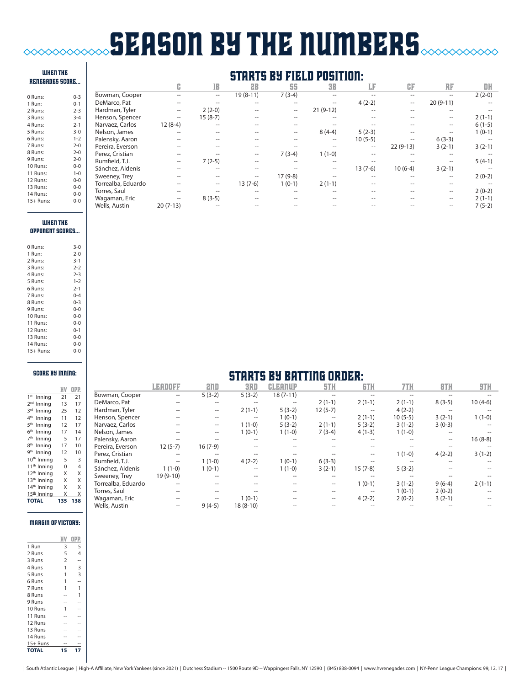# **SEASON BY THE NUMBERS**  $\infty$

#### RENEGADES score... 0 Rui 1 Run 2 Run  $\frac{2}{3}$  Runs 4 Runs: 2-1  $5 Ru$  $6 Ru$ 7 Ru 8 Run 9 Ru 10 Ru 11 Ru

when THE

# starts by field position:

|             |         |                    |                   | lB                  | 2B                | 55                | <b>3B</b>         | ιF.       | CF         | RF                  | DH       |
|-------------|---------|--------------------|-------------------|---------------------|-------------------|-------------------|-------------------|-----------|------------|---------------------|----------|
| 0 Runs:     | $0 - 3$ | Bowman, Cooper     |                   | $\hspace{0.05cm} -$ | $19(8-11)$        | $7(3-4)$          |                   |           | $-$        | $\hspace{0.05cm} -$ | $2(2-0)$ |
| 1 Run:      | $0 - 1$ | DeMarco, Pat       |                   |                     | --                | --                |                   | $4(2-2)$  | --         | $20(9-11)$          |          |
| 2 Runs:     | $2 - 3$ | Hardman, Tyler     | $\hspace{0.05cm}$ | $2(2-0)$            |                   | $\hspace{0.05cm}$ | $21(9-12)$        | --        | --         | --                  |          |
| 3 Runs:     | $3 - 4$ | Henson, Spencer    | $- -$             | $15(8-7)$           |                   |                   |                   | --        |            | $\hspace{0.05cm}$   | $2(1-1)$ |
| 4 Runs:     | $2 - 1$ | Narvaez, Carlos    | $12(8-4)$         | $-$                 |                   |                   |                   |           |            | $\hspace{0.05cm} -$ | $6(1-5)$ |
| 5 Runs:     | $3 - 0$ | Nelson, James      |                   | --                  |                   | --                | $8(4-4)$          | $5(2-3)$  | --         | --                  | $1(0-1)$ |
| 6 Runs:     | $1 - 2$ | Palensky, Aaron    |                   | --                  |                   |                   | $\hspace{0.05cm}$ | $10(5-5)$ | --         | $6(3-3)$            |          |
| 7 Runs:     | $2 - 0$ | Pereira, Everson   |                   |                     |                   |                   |                   | --        | $22(9-13)$ | $3(2-1)$            | $3(2-1)$ |
| 8 Runs:     | $2 - 0$ | Perez, Cristian    | $- -$             |                     | $-$               | $7(3-4)$          | $1(1-0)$          | --        | --         | $-$                 |          |
| 9 Runs:     | $2 - 0$ | Rumfield, T.J.     | $\hspace{0.05cm}$ | $7(2-5)$            | --                |                   | $- -$             | --        |            | $-$                 | $5(4-1)$ |
| 10 Runs:    | $0 - 0$ | Sánchez, Aldenis   |                   | --                  |                   |                   | $\hspace{0.05cm}$ | $13(7-6)$ | $10(6-4)$  | $3(2-1)$            |          |
| 11 Runs:    | $1 - 0$ | Sweeney, Trey      | --                | --                  | $\hspace{0.05cm}$ | $17(9-8)$         |                   | --        | --         | $\hspace{0.05cm}$   | $2(0-2)$ |
| 12 Runs:    | $0 - 0$ | Torrealba, Eduardo |                   | $\hspace{0.05cm}$   | $13(7-6)$         | $1(0-1)$          | $2(1-1)$          |           |            | --                  |          |
| 13 Runs:    | $0 - 0$ | Torres, Saul       |                   |                     |                   |                   |                   |           |            | $\hspace{0.05cm}$   | $2(0-2)$ |
| 14 Runs:    | $0-0$   | Wagaman, Eric      | $- -$             | $8(3-5)$            |                   |                   |                   |           |            | $-$                 | $2(1-1)$ |
| $15+$ Runs: | $0 - 0$ | Wells, Austin      | $20(7-13)$        |                     |                   |                   |                   |           |            | --                  | $7(5-2)$ |

#### when THE oppONENT scores...

| 0 Runs:   | $3-0$   |
|-----------|---------|
| 1 Run:    | $2 - 0$ |
| 2 Runs:   | $3 - 1$ |
| 3 Runs:   | $2 - 2$ |
| 4 Runs:   | $2 - 3$ |
| 5 Runs:   | $1 - 2$ |
| 6 Runs:   | $2 - 1$ |
| 7 Runs:   | $0 - 4$ |
| 8 Runs:   | $0 - 3$ |
| 9 Runs:   | $0 - 0$ |
| 10 Runs:  | $0 - 0$ |
| 11 Runs:  | $0 - 0$ |
| 12 Runs:  | $0 - 1$ |
| 13 Runs:  | $0 - 0$ |
| 14 Runs:  | $0 - 0$ |
| 15+ Runs: | $0 - 0$ |

#### score by inning:

|                            | ИV       | OPP.           |
|----------------------------|----------|----------------|
| 1 <sup>st</sup><br>Inning  | 21       | 21             |
| 2 <sub>nd</sub><br>Inning  | 13       | 17             |
| 2rd<br>Inning              | 25       | 12             |
| 4 <sup>th</sup><br>Inning  | 11       | 12             |
| 5 <sup>th</sup><br>Inning  | 12       | 17             |
| 6 <sup>th</sup><br>Inning  | 17       | 14             |
| 7 <sup>th</sup><br>Inning  | 5        | 17             |
| <b>gth</b><br>Inning       | 17       | 10             |
| <b>gth</b><br>Inning       | 12       | 10             |
| $10^{\text{th}}$<br>Inning | 5        | 3              |
| $11th$ Inning              | $\Omega$ | $\overline{4}$ |
| 12 <sup>th</sup> Inning    | X        | X              |
| 13 <sup>th</sup> Inning    | X        | X              |
| 14 <sup>th</sup><br>Inning | X        | X              |
| 15 <sup>th</sup> Inning    | Χ        | Χ              |
| <b>TOTAL</b>               | 135      | 138            |
|                            |          |                |

#### margin of victory:

| 1 Run        | 3              | 5 |
|--------------|----------------|---|
| 2 Runs       | 5              | 4 |
| 3 Runs       | $\overline{2}$ |   |
| 4 Runs       | 1              | 3 |
| 5 Runs       | 1              | 3 |
| 6 Runs       | 1              |   |
| 7 Runs       | 1              | 1 |
| 8 Runs       |                | 1 |
| 9 Runs       |                |   |
| 10 Runs      | 1              |   |
| 11 Runs      |                |   |
| 12 Runs      |                |   |
| 13 Runs      |                |   |
| 14 Runs      |                |   |
| $15+$ Runs   |                |   |
| <b>TOTAL</b> | 15             |   |

| <b>STARTS BY BATTING ORDER:</b> |
|---------------------------------|
|---------------------------------|

|                    | LEADOFF                                             | ann       | 3RD                      | <b>CLEANUP</b> | 5TH                 | <b>GTH</b>               | 7TH       | 8TH      | 9TH       |
|--------------------|-----------------------------------------------------|-----------|--------------------------|----------------|---------------------|--------------------------|-----------|----------|-----------|
| Bowman, Cooper     | $\qquad \qquad -$                                   | $5(3-2)$  | $5(3-2)$                 | $18(7-11)$     | $-$                 |                          |           |          |           |
| DeMarco, Pat       |                                                     | --        | $- -$                    | --             | $2(1-1)$            | $2(1-1)$                 | $2(1-1)$  | $8(3-5)$ | $10(4-6)$ |
| Hardman, Tyler     | $-$                                                 | --        | $2(1-1)$                 | $5(3-2)$       | $12(5-7)$           | $\overline{\phantom{m}}$ | $4(2-2)$  |          |           |
| Henson, Spencer    |                                                     | --        | $\overline{\phantom{a}}$ | $1(0-1)$       | $\hspace{0.05cm} -$ | $2(1-1)$                 | $10(5-5)$ | $3(2-1)$ | $1(1-0)$  |
| Narvaez, Carlos    |                                                     | --        | $1(1-0)$                 | $5(3-2)$       | $2(1-1)$            | $5(3-2)$                 | $3(1-2)$  | $3(0-3)$ |           |
| Nelson, James      | $-$                                                 | --        | $1(0-1)$                 | $1(1-0)$       | $7(3-4)$            | $4(1-3)$                 | $1(1-0)$  | $-$      |           |
| Palensky, Aaron    |                                                     |           | --                       |                |                     |                          |           |          | $16(8-8)$ |
| Pereira, Everson   | $12(5-7)$                                           | $16(7-9)$ |                          |                |                     |                          |           |          |           |
| Perez, Cristian    | $- -$                                               | $- -$     |                          |                |                     |                          | $1(1-0)$  | $4(2-2)$ | $3(1-2)$  |
| Rumfield, T.J.     | $\hspace{0.05cm} -\hspace{0.05cm} -\hspace{0.05cm}$ | $1(1-0)$  | $4(2-2)$                 | $1(0-1)$       | $6(3-3)$            |                          |           |          |           |
| Sánchez, Aldenis   | $1(1-0)$                                            | $1(0-1)$  | $\qquad \qquad -$        | $1(1-0)$       | $3(2-1)$            | $15(7-8)$                | $5(3-2)$  |          |           |
| Sweeney, Trey      | $19(9-10)$                                          |           |                          |                | $- -$               |                          |           |          |           |
| Torrealba, Eduardo | $-$                                                 |           |                          |                | $- -$               | $1(0-1)$                 | $3(1-2)$  | $9(6-4)$ | $2(1-1)$  |
| Torres, Saul       |                                                     |           |                          |                | $- -$               | $-$                      | $1(0-1)$  | $2(0-2)$ |           |
| Wagaman, Eric      | --                                                  |           | $1(0-1)$                 |                | $- -$               | $4(2-2)$                 | $2(0-2)$  | $3(2-1)$ |           |
| Wells, Austin      | $\overline{\phantom{a}}$                            | $9(4-5)$  | $18(8-10)$               |                |                     |                          |           |          |           |
|                    |                                                     |           |                          |                |                     |                          |           |          |           |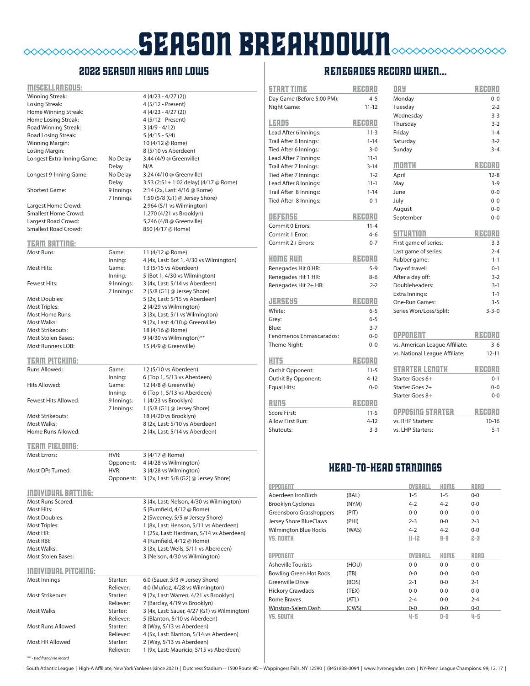# **SEASON BREAKDOWN**  $\begin{picture}(180,10) \put(0,0){\line(1,0){10}} \put(0,0){\line(1,0){10}} \put(0,0){\line(1,0){10}} \put(0,0){\line(1,0){10}} \put(0,0){\line(1,0){10}} \put(0,0){\line(1,0){10}} \put(0,0){\line(1,0){10}} \put(0,0){\line(1,0){10}} \put(0,0){\line(1,0){10}} \put(0,0){\line(1,0){10}} \put(0,0){\line(1,0){10}} \put(0,0){\line(1,0){10}} \put(0$

# 2022 season highs and lows

| <u>MISCELLANEOUS:</u>       |                       |                                                                      |
|-----------------------------|-----------------------|----------------------------------------------------------------------|
| Winning Streak:             |                       | $4(4/23 - 4/27(2))$                                                  |
| Losing Streak:              |                       | 4 (5/12 - Present)                                                   |
| Home Winning Streak:        |                       | $4(4/23 - 4/27(2))$                                                  |
| Home Losing Streak:         |                       | 4 (5/12 - Present)                                                   |
| Road Winning Streak:        |                       | $3(4/9 - 4/12)$                                                      |
| Road Losing Streak:         |                       | $5(4/15 - 5/4)$                                                      |
| Winning Margin:             |                       | 10 (4/12 @ Rome)                                                     |
| Losing Margin:              |                       | 8 (5/10 vs Aberdeen)                                                 |
| Longest Extra-Inning Game:  | No Delay              | 3:44 (4/9 @ Greenville)                                              |
|                             | Delay                 | N/A                                                                  |
| Longest 9-Inning Game:      | No Delay              | 3:24 (4/10 @ Greenville)                                             |
|                             | Delay                 | 3:53 (2:51+ 1:02 delay) (4/17 @ Rome)                                |
| <b>Shortest Game:</b>       | 9 Innings             | 2:14 (2x, Last: 4/16 @ Rome)                                         |
|                             | 7 Innings             | 1:50 (5/8 (G1) @ Jersey Shore)                                       |
| Largest Home Crowd:         |                       | 2,964 (5/1 vs Wilmington)                                            |
| Smallest Home Crowd:        |                       | 1,270 (4/21 vs Brooklyn)                                             |
| Largest Road Crowd:         |                       | 5,246 (4/8 @ Greenville)                                             |
| <b>Smallest Road Crowd:</b> |                       | 850 (4/17 @ Rome)                                                    |
|                             |                       |                                                                      |
| <b>TEAM BATTING:</b>        |                       |                                                                      |
| Most Runs:                  | Game:                 | 11 (4/12 @ Rome)                                                     |
|                             | Inning:               | 4 (4x, Last: Bot 1, 4/30 vs Wilmington)                              |
| Most Hits:                  | Game:                 | 13 (5/15 vs Aberdeen)                                                |
|                             | Inning:               | 5 (Bot 1, 4/30 vs Wilmington)                                        |
| Fewest Hits:                | 9 Innings:            | 3 (4x, Last: 5/14 vs Aberdeen)                                       |
|                             | 7 Innings:            | 2 (5/8 (G1) @ Jersey Shore)                                          |
| <b>Most Doubles:</b>        |                       | 5 (2x, Last: 5/15 vs Aberdeen)                                       |
| <b>Most Triples:</b>        |                       | 2 (4/29 vs Wilmington)                                               |
| <b>Most Home Runs:</b>      |                       | 3 (3x, Last: 5/1 vs Wilmington)                                      |
| Most Walks:                 |                       | 9 (2x, Last: 4/10 @ Greenville)                                      |
| <b>Most Strikeouts:</b>     |                       | 18 (4/16 @ Rome)                                                     |
| <b>Most Stolen Bases:</b>   |                       | 9 (4/30 vs Wilmington)**                                             |
| <b>Most Runners LOB:</b>    |                       | 15 (4/9 @ Greenville)                                                |
|                             |                       |                                                                      |
| <b>TEAM PITCHING:</b>       |                       |                                                                      |
| Runs Allowed:               | Game:                 | 12 (5/10 vs Aberdeen)                                                |
|                             | Inning:               | 6 (Top 1, 5/13 vs Aberdeen)                                          |
|                             |                       |                                                                      |
| Hits Allowed:               | Game:                 | 12 (4/8 @ Greenville)                                                |
|                             | Inning:               | 6 (Top 1, 5/13 vs Aberdeen)                                          |
| Fewest Hits Allowed:        | 9 Innings:            | 1 (4/23 vs Brooklyn)                                                 |
|                             | 7 Innings:            | 1 (5/8 (G1) @ Jersey Shore)                                          |
| <b>Most Strikeouts:</b>     |                       | 18 (4/20 vs Brooklyn)                                                |
| Most Walks:                 |                       | 8 (2x, Last: 5/10 vs Aberdeen)                                       |
| Home Runs Allowed:          |                       | 2 (4x, Last: 5/14 vs Aberdeen)                                       |
|                             |                       |                                                                      |
| <b>TEAM FIELDING:</b>       |                       |                                                                      |
| <b>Most Errors:</b>         | HVR:                  | 3 (4/17 @ Rome)                                                      |
|                             | Opponent:             | 4 (4/28 vs Wilmington)                                               |
| Most DPs Turned:            | HVR:                  | 3 (4/28 vs Wilmington)                                               |
|                             | Opponent:             | 3 (2x, Last: 5/8 (G2) @ Jersey Shore)                                |
|                             |                       |                                                                      |
| <b>INDIVIDUAL BATTING:</b>  |                       |                                                                      |
| Most Runs Scored:           |                       | 3 (4x, Last: Nelson, 4/30 vs Wilmington)                             |
| Most Hits:                  |                       | 5 (Rumfield, 4/12 @ Rome)                                            |
| <b>Most Doubles:</b>        |                       | 2 (Sweeney, 5/5 @ Jersey Shore)                                      |
| Most Triples:               |                       | 1 (8x, Last: Henson, 5/11 vs Aberdeen)                               |
| Most HR:                    |                       | 1 (25x, Last: Hardman, 5/14 vs Aberdeen)                             |
| Most RBI:                   |                       | 4 (Rumfield, 4/12 @ Rome)                                            |
| Most Walks:                 |                       | 3 (3x, Last: Wells, 5/11 vs Aberdeen)                                |
| <b>Most Stolen Bases:</b>   |                       | 3 (Nelson, 4/30 vs Wilmington)                                       |
|                             |                       |                                                                      |
| <b>INDIVIDUAL PITCHING:</b> |                       |                                                                      |
| Most Innings                | Starter:              | 6.0 (Sauer, 5/3 @ Jersey Shore)                                      |
|                             | Reliever:             | 4.0 (Muñoz, 4/28 vs Wilmington)                                      |
| <b>Most Strikeouts</b>      | Starter:              | 9 (2x, Last: Warren, 4/21 vs Brooklyn)                               |
|                             | Reliever:             | 7 (Barclay, 4/19 vs Brooklyn)                                        |
| <b>Most Walks</b>           | Starter:              | 3 (4x, Last: Sauer, 4/27 (G1) vs Wilmington)                         |
|                             | Reliever:             | 5 (Blanton, 5/10 vs Aberdeen)                                        |
| Most Runs Allowed           | Starter:              | 8 (Way, 5/13 vs Aberdeen)                                            |
| Most HR Allowed             | Reliever:<br>Starter: | 4 (5x, Last: Blanton, 5/14 vs Aberdeen)<br>2 (Way, 5/13 vs Aberdeen) |

# RENEGADES record when...

| <b>START TIME</b>                         | RZADRO    | DAY                            |         | READRO      |
|-------------------------------------------|-----------|--------------------------------|---------|-------------|
| Day Game (Before 5:00 PM):                | $4 - 5$   | Monday                         |         | $0 - 0$     |
| Night Game:                               | $11 - 12$ | Tuesday                        |         | $2 - 2$     |
|                                           |           | Wednesday                      |         | $3 - 3$     |
| LEADS                                     | RZEORO    | Thursday                       |         | $3 - 2$     |
| Lead After 6 Innings:                     | $11 - 3$  | Friday                         |         | $1 - 4$     |
| Trail After 6 Innings:                    | $1 - 14$  | Saturday                       |         | $3 - 2$     |
| Tied After 6 Innings:                     | $3 - 0$   | Sunday                         |         | $3 - 4$     |
| Lead After 7 Innings:                     | $11 - 1$  |                                |         |             |
| Trail After 7 Innings:                    | $3 - 14$  | month                          |         | RZEORO      |
| Tied After 7 Innings:                     | $1 - 2$   | April                          |         | $12 - 8$    |
| Lead After 8 Innings:                     | $11 - 1$  | May                            |         | $3 - 9$     |
| Trail After 8 Innings:                    | $1 - 14$  | June                           |         | $0 - 0$     |
| Tied After 8 Innings:                     | $0 - 1$   | July                           |         | $0 - 0$     |
|                                           |           | August                         |         | $0 - 0$     |
| 0414154                                   | RZEORO    | September                      |         | $0 - 0$     |
| Commit 0 Errors:                          | $11 - 4$  |                                |         |             |
| Commit 1 Error:                           | $4 - 6$   | SITUATION                      |         | RZEORO      |
| Commit 2+ Errors:                         | $0 - 7$   | First game of series:          |         | $3 - 3$     |
|                                           |           | Last game of series:           |         | $2 - 4$     |
| HOME RUN                                  | RZEORO    | Rubber game:                   |         | $1 - 1$     |
| Renegades Hit 0 HR:                       | $5 - 9$   | Day-of travel:                 |         | $0 - 1$     |
| Renegades Hit 1 HR:                       | $8 - 6$   | After a day off:               |         | $3 - 2$     |
| Renegades Hit 2+ HR:                      | $2 - 2$   | Doubleheaders:                 |         | $3-1$       |
|                                           |           | Extra Innings:                 |         | $1 - 1$     |
| JERSEYS                                   | RZEORO    | One-Run Games:                 |         | $3 - 5$     |
| White:                                    | $6 - 5$   | Series Won/Loss/Split:         |         | $3 - 3 - 0$ |
| Grey:                                     | $6 - 5$   |                                |         |             |
| Blue:                                     | $3 - 7$   |                                |         |             |
| Fenómenos Enmascarados:                   | $0 - 0$   | OPPONENT                       |         | RZEORO      |
| Theme Night:                              | $0 - 0$   | vs. American League Affiliate: |         | $3 - 6$     |
| <b>HITS</b>                               | RZADRO    | vs. National League Affiliate: |         | $12 - 11$   |
|                                           | $11 - 5$  | STARTER LENETH                 |         | RZEORO      |
| Outhit Opponent:                          | $4 - 12$  | Starter Goes 6+                |         | $0 - 1$     |
| Outhit By Opponent:<br><b>Equal Hits:</b> | $0 - 0$   | Starter Goes 7+                |         | $0 - 0$     |
|                                           |           | Starter Goes 8+                |         | $0 - 0$     |
| <b>Runs</b>                               | RECORD    |                                |         |             |
| <b>Score First:</b>                       | $11 - 5$  | <b>OPPOSING STARTER</b>        |         | RECORD      |
| Allow First Run:                          | $4 - 12$  | vs. RHP Starters:              |         | $10 - 16$   |
| Shutouts:                                 | $3 - 3$   | vs. LHP Starters:              |         | $5 - 1$     |
|                                           |           |                                |         |             |
|                                           |           | <b>HEAD-TO-HEAD STANDINGS</b>  |         |             |
| <b>OPPONENT</b>                           |           | OVERALL                        | HOME    | ROAD        |
| Aberdeen IronBirds                        | (BAL)     | $1 - 5$                        | $1 - 5$ | $0 - 0$     |
| <b>Brooklyn Cyclones</b>                  | (NYM)     | $4 - 2$                        | $4 - 2$ | $0 - 0$     |

| <b>OPPONENT</b>               |       | OVERALL | HOME    | ROAD    |
|-------------------------------|-------|---------|---------|---------|
| Aberdeen IronBirds            | (BAL) | $1 - 5$ | $1 - 5$ | $0 - 0$ |
| <b>Brooklyn Cyclones</b>      | (NYM) | $4 - 2$ | $4 - 2$ | $0-0$   |
| Greensboro Grasshoppers       | (PIT) | $0 - 0$ | $0 - 0$ | $0 - 0$ |
| Jersey Shore BlueClaws        | (PHI) | $2 - 3$ | $0 - 0$ | $2 - 3$ |
| <b>Wilmington Blue Rocks</b>  | (WAS) | $4 - 2$ | $4 - 2$ | $0-0$   |
| <b>VS. NORTH</b>              |       | $II-12$ | $9-9$   | $2 - 3$ |
|                               |       |         |         |         |
|                               |       |         |         |         |
| OPPONENT                      |       | OVERALL | HOME    | ROAD    |
| <b>Asheville Tourists</b>     | (HOU) | $0 - 0$ | $0 - 0$ | $0 - 0$ |
| <b>Bowling Green Hot Rods</b> | (TB)  | $0-0$   | $0-0$   | $0-0$   |
| <b>Greenville Drive</b>       | (BOS) | $2 - 1$ | $0 - 0$ | $2 - 1$ |
| <b>Hickory Crawdads</b>       | (TEX) | $0-0$   | $0-0$   | $0-0$   |
| Rome Braves                   | (ATL) | $2 - 4$ | $0-0$   | $2 - 4$ |
| Winston-Salem Dash            | (CWS) | $0-0$   | $0-0$   | $0-0$   |

\*\* - *tied franchise record*

| South Atlantic League | High-A Affiliate, New York Yankees (since 2021) | Dutchess Stadium -- 1500 Route 9D -- Wappingers Falls, NY 12590 | (845) 838-0094 | www.hvrenegades.com | NY-Penn League Champions: 99, 12, 17 |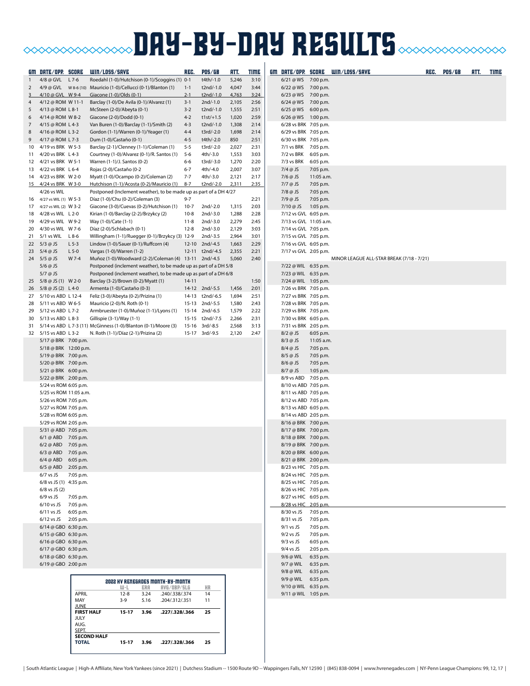# **BAY-BY-DAY RESULTS CONDITIONS IN THE SULTS**

|          | <u>GM DATE/OPP. SCORE</u>                         |                     | WIN/LOSS/SAVE                                                                      | REG.              | <b>POS/GB</b>                    | RTT.           | <b>TIME</b>  |                                                |                        | GM DATE/OPP. SCORE WIN/LOSS/SAVE          | REC. | <b>POS/GB</b> | ATT. | TIME |
|----------|---------------------------------------------------|---------------------|------------------------------------------------------------------------------------|-------------------|----------------------------------|----------------|--------------|------------------------------------------------|------------------------|-------------------------------------------|------|---------------|------|------|
|          | 4/8 @ GVL L 7-6                                   |                     | Roedahl (1-0)/Hutchison (0-1)/Scoggins (1) 0-1                                     |                   | t4th/-1.0                        | 5,246          | 3:10         | 6/21 @ WS 7:00 p.m.                            |                        |                                           |      |               |      |      |
| 2        |                                                   |                     |                                                                                    | $1 - 1$           | t2nd/-1.0                        | 4,047          | 3:44         | 6/22 @ WS 7:00 p.m.                            |                        |                                           |      |               |      |      |
| 3        | 4/10 @ GVL W 9-4                                  |                     | Giacone (1-0)/Olds (0-1)                                                           | $2 - 1$           | t2nd/-1.0                        | 4,763          | 3:24         | 6/23 @ WS 7:00 p.m.                            |                        |                                           |      |               |      |      |
| 4<br>5   | 4/12 @ ROM W 11-1<br>4/13 @ ROM L 8-1             |                     | Barclay (1-0)/De Avila (0-1)/Alvarez (1)<br>McSteen (2-0)/Abeyta (0-1)             | $3-1$<br>$3 - 2$  | $2nd/-1.0$<br>t2nd/-1.0          | 2,105<br>1,555 | 2:56<br>2:51 | 6/24 @ WS 7:00 p.m.<br>6/25 @ WS 6:00 p.m.     |                        |                                           |      |               |      |      |
| 6        | 4/14 @ ROM W 8-2                                  |                     | Giacone (2-0)/Dodd (0-1)                                                           | $4 - 2$           | $t1st/+1.5$                      | 1,020          | 2:59         | 6/26 @ WS 1:00 p.m.                            |                        |                                           |      |               |      |      |
| 7        | 4/15 @ ROM L 4-3                                  |                     | Van Buren (1-0)/Barclay (1-1)/Smith (2)                                            | $4 - 3$           | t2nd/-1.0                        | 1,308          | 2:14         | 6/28 vs BRK 7:05 p.m.                          |                        |                                           |      |               |      |      |
| 8        | 4/16 @ ROM L 3-2                                  |                     | Gordon (1-1)/Warren (0-1)/Yeager (1)                                               | $4 - 4$           | t3rd/-2.0                        | 1,698          | 2:14         | 6/29 vs BRK 7:05 p.m.                          |                        |                                           |      |               |      |      |
| 9        | 4/17 @ ROM L 7-3                                  |                     | Dum (1-0)/Castaño (0-1)                                                            | $4 - 5$           | t4th/-2.0                        | 850            | 2:51         | 6/30 vs BRK 7:05 p.m.                          |                        |                                           |      |               |      |      |
| 10       | 4/19 vs BRK W 5-3                                 |                     | Barclay (2-1)/Clenney (1-1)/Coleman (1)                                            | $5 - 5$           | t3rd/-2.0                        | 2,027          | 2:31         | 7/1 vs BRK 7:05 p.m.                           |                        |                                           |      |               |      |      |
| 12       | 11 4/20 vs BRK L 4-3<br>4/21 vs BRK W 5-1         |                     | Courtney (1-0)/Alvarez (0-1)/R. Santos (1)<br>Warren (1-1)/J. Santos (0-2)         | $5 - 6$<br>6-6    | 4th/-3.0<br>t3rd/-3.0            | 1,553<br>1,270 | 3:03<br>2:20 | 7/2 vs BRK 6:05 p.m.<br>7/3 vs BRK             | 6:05 p.m.              |                                           |      |               |      |      |
|          | 13 4/22 vs BRK L 6-4                              |                     | Rojas (2-0)/Castaño (0-2                                                           | $6 - 7$           | 4th/-4.0                         | 2,007          | 3:07         | $7/4$ @ JS                                     | 7:05 p.m.              |                                           |      |               |      |      |
|          | 14 4/23 vs BRK W 2-0                              |                     | Myatt (1-0)/Ocampo (0-2)/Coleman (2)                                               | $7 - 7$           | 4th/-3.0                         | 2,121          | 2:17         | $7/6$ @ JS                                     | 11:05 a.m.             |                                           |      |               |      |      |
|          | 15 4/24 vs BRK W 3-0                              |                     | Hutchison (1-1)/Acosta (0-2)/Mauricio (1)                                          | $8 - 7$           | t2nd/-2.0                        | 2,311          | 2:35         | $7/7$ @ JS                                     | 7:05 p.m.              |                                           |      |               |      |      |
|          | 4/26 vs WIL                                       |                     | Postponed (Inclement weather), to be made up as part of a DH 4/27                  |                   |                                  |                |              | $7/8$ @ JS                                     | 7:05 p.m.              |                                           |      |               |      |      |
| 16       | 4/27 vs WIL (1) W 5-3<br>17 4/27 vs WIL (2) W 3-2 |                     | Díaz (1-0)/Chu (0-2)/Coleman (3)<br>Giacone (3-0)/Cuevas (0-2)/Hutchison (1)       | $9 - 7$<br>$10-7$ | 2nd/-2.0                         | 1,315          | 2:21<br>2:03 | 7/9 @ JS<br>7/10 @ JS                          | 7:05 p.m.<br>1:05 p.m. |                                           |      |               |      |      |
| 18       | 4/28 vs WIL L 2-0                                 |                     | Kirian (1-0)/Barclay (2-2)/Brzykcy (2)                                             | $10 - 8$          | 2nd/-3.0                         | 1,288          | 2:28         | 7/12 vs GVL 6:05 p.m.                          |                        |                                           |      |               |      |      |
| 19       | 4/29 vs WIL W 9-2                                 |                     | Way (1-0)/Cate (1-1)                                                               | 11-8              | 2nd/-3.0                         | 2,279          | 2:45         | 7/13 vs GVL 11:05 a.m.                         |                        |                                           |      |               |      |      |
| 20       | 4/30 vs WIL W 7-6                                 |                     | Díaz (2-0)/Schlabach (0-1)                                                         | $12 - 8$          | $2nd/-3.0$                       | 2,129          | 3:03         | 7/14 vs GVL 7:05 p.m.                          |                        |                                           |      |               |      |      |
| 21       | 5/1 vs WIL                                        | $L8-6$              | Willingham (1-1)/Ruegger (0-1)/Brzykcy (3) 12-9                                    |                   | 2nd/-3.5                         | 2,964          | 3:01         | 7/15 vs GVL 7:05 p.m.                          |                        |                                           |      |               |      |      |
| 22       | 5/3 @ JS                                          | $L$ 5-3             | Lindow (1-0)/Sauer (0-1)/Ruffcorn (4)                                              |                   | 12-10 2nd/-4.5                   | 1,663          | 2:29         | 7/16 vs GVL 6:05 p.m.                          |                        |                                           |      |               |      |      |
| 23       | 5/4 @ JS<br>24 5/5 @ JS                           | $L$ 5-0<br>W 7-4    | Vargas (1-0)/Warren (1-2)<br>Muñoz (1-0)/Woodward (2-2)/Coleman (4) 13-11 2nd/-4.5 |                   | 12-11 t2nd/-4.5                  | 2,355<br>5,060 | 2:21<br>2:40 | 7/17 vs GVL 2:05 p.m.                          |                        | MINOR LEAGUE ALL-STAR BREAK (7/18 - 7/21) |      |               |      |      |
|          | $5/6$ @ JS                                        |                     | Postponed (inclement weather), to be made up as part of a DH 5/8                   |                   |                                  |                |              | 7/22 @ WIL 6:35 p.m.                           |                        |                                           |      |               |      |      |
|          | $5/7$ @ JS                                        |                     | Postponed (inclement weather), to be made up as part of a DH 6/8                   |                   |                                  |                |              | 7/23 @ WIL 6:35 p.m.                           |                        |                                           |      |               |      |      |
| 25       | 5/8 @ JS (1) W 2-0                                |                     | Barclay (3-2)/Brown (0-2)/Myatt (1)                                                | $14 - 11$         |                                  |                | 1:50         | 7/24 @ WIL 1:05 p.m.                           |                        |                                           |      |               |      |      |
|          | 26 5/8 @ JS (2) L 4-0                             |                     | Armenta (1-0)/Castaño (0-3)                                                        |                   | 14-12 2nd/-5.5                   | 1,456          | 2:01         | 7/26 vs BRK 7:05 p.m.                          |                        |                                           |      |               |      |      |
|          | 27 5/10 vs ABD L 12-4                             |                     | Feliz (3-0)/Abeyta (0-2)/Prizina (1)                                               |                   | 14-13 t2nd/-6.5                  | 1,694          | 2:51         | 7/27 vs BRK 7:05 p.m.                          |                        |                                           |      |               |      |      |
| 28<br>29 | 5/11 vs ABD W 6-5<br>5/12 vs ABD L 7-2            |                     | Mauricio (2-0)/N. Roth (0-1)<br>Armbruester (1-0)/Muñoz (1-1)/Lyons (1)            |                   | 15-13 2nd/-5.5<br>15-14 2nd/-6.5 | 1,580<br>1,579 | 2:43<br>2:22 | 7/28 vs BRK 7:05 p.m.<br>7/29 vs BRK 7:05 p.m. |                        |                                           |      |               |      |      |
| 30       | 5/13 vs ABD L 8-3                                 |                     | Gillispie (3-1)/Way (1-1)                                                          |                   | 15-15 t2nd/-7.5                  | 2,266          | 2:31         | 7/30 vs BRK 6:05 p.m.                          |                        |                                           |      |               |      |      |
| 31       |                                                   |                     | 5/14 vs ABD L 7-3 (11) McGinness (1-0)/Blanton (0-1)/Moore (3)                     |                   | 15-16 3rd/-8.5                   | 2,568          | 3:13         | 7/31 vs BRK 2:05 p.m.                          |                        |                                           |      |               |      |      |
| 32       | 5/15 vs ABD L 3-2                                 |                     | N. Roth (1-1)/Díaz (2-1)/Prizina (2)                                               |                   | 15-17 3rd/-9.5                   | 2,120          | 2:47         | $8/2$ @ JS                                     | 6:05 p.m.              |                                           |      |               |      |      |
|          | 5/17 @ BRK 7:00 p.m.                              |                     |                                                                                    |                   |                                  |                |              | $8/3$ @ JS                                     | 11:05 a.m.             |                                           |      |               |      |      |
|          | 5/18 @ BRK 12:00 p.m.<br>5/19 @ BRK 7:00 p.m.     |                     |                                                                                    |                   |                                  |                |              | $8/4$ @ JS<br>$8/5$ @ JS                       | 7:05 p.m.<br>7:05 p.m. |                                           |      |               |      |      |
|          | 5/20 @ BRK 7:00 p.m.                              |                     |                                                                                    |                   |                                  |                |              | $8/6$ @ JS                                     | 7:05 p.m.              |                                           |      |               |      |      |
|          | 5/21 @ BRK 6:00 p.m.                              |                     |                                                                                    |                   |                                  |                |              | 8/7 @ JS                                       | 1:05 p.m.              |                                           |      |               |      |      |
|          | 5/22 @ BRK 2:00 p.m.                              |                     |                                                                                    |                   |                                  |                |              | 8/9 vs ABD 7:05 p.m.                           |                        |                                           |      |               |      |      |
|          | 5/24 vs ROM 6:05 p.m.                             |                     |                                                                                    |                   |                                  |                |              | 8/10 vs ABD 7:05 p.m.                          |                        |                                           |      |               |      |      |
|          | 5/25 vs ROM 11:05 a.m.                            |                     |                                                                                    |                   |                                  |                |              | 8/11 vs ABD 7:05 p.m.                          |                        |                                           |      |               |      |      |
|          | 5/26 vs ROM 7:05 p.m.<br>5/27 vs ROM 7:05 p.m.    |                     |                                                                                    |                   |                                  |                |              | 8/12 vs ABD 7:05 p.m.<br>8/13 vs ABD 6:05 p.m. |                        |                                           |      |               |      |      |
|          | 5/28 vs ROM 6:05 p.m.                             |                     |                                                                                    |                   |                                  |                |              | 8/14 vs ABD 2:05 p.m.                          |                        |                                           |      |               |      |      |
|          | 5/29 vs ROM 2:05 p.m.                             |                     |                                                                                    |                   |                                  |                |              | 8/16 @ BRK 7:00 p.m.                           |                        |                                           |      |               |      |      |
|          | 5/31 @ ABD 7:05 p.m.                              |                     |                                                                                    |                   |                                  |                |              | 8/17 @ BRK 7:00 p.m.                           |                        |                                           |      |               |      |      |
|          | 6/1 @ ABD 7:05 p.m.<br>6/2 @ ABD 7:05 p.m.        |                     |                                                                                    |                   |                                  |                |              | 8/18 @ BRK 7:00 p.m.<br>8/19 @ BRK 7:00 p.m.   |                        |                                           |      |               |      |      |
|          | 6/3 @ ABD 7:05 p.m.                               |                     |                                                                                    |                   |                                  |                |              | 8/20 @ BRK 6:00 p.m                            |                        |                                           |      |               |      |      |
|          | 6/4 @ ABD 6:05 p.m.                               |                     |                                                                                    |                   |                                  |                |              | 8/21 @ BRK 2:00 p.m.                           |                        |                                           |      |               |      |      |
|          | 6/5 @ ABD 2:05 p.m.                               |                     |                                                                                    |                   |                                  |                |              | 8/23 vs HIC 7:05 p.m.                          |                        |                                           |      |               |      |      |
|          | $6/7$ vs JS                                       | 7:05 p.m.           |                                                                                    |                   |                                  |                |              | 8/24 vs HIC 7:05 p.m.                          |                        |                                           |      |               |      |      |
|          | 6/8 vs JS (1) 4:35 p.m.                           |                     |                                                                                    |                   |                                  |                |              | 8/25 vs HIC 7:05 p.m.                          |                        |                                           |      |               |      |      |
|          | $6/8$ vs JS $(2)$<br>$6/9$ vs JS                  | 7:05 p.m.           |                                                                                    |                   |                                  |                |              | 8/26 vs HIC 7:05 p.m.<br>8/27 vs HIC 6:05 p.m. |                        |                                           |      |               |      |      |
|          | 6/10 vs JS 7:05 p.m.                              |                     |                                                                                    |                   |                                  |                |              | 8/28 vs HIC 2:05 p.m.                          |                        |                                           |      |               |      |      |
|          | 6/11 vs JS 6:05 p.m.                              |                     |                                                                                    |                   |                                  |                |              | 8/30 vs JS 7:05 p.m.                           |                        |                                           |      |               |      |      |
|          | 6/12 vs JS 2:05 p.m.                              |                     |                                                                                    |                   |                                  |                |              | 8/31 vs JS                                     | 7:05 p.m.              |                                           |      |               |      |      |
|          | 6/14 @ GBO 6:30 p.m.                              |                     |                                                                                    |                   |                                  |                |              | $9/1$ vs JS                                    | 7:05 p.m.              |                                           |      |               |      |      |
|          | 6/15 @ GBO 6:30 p.m.<br>6/16 @ GBO 6:30 p.m.      |                     |                                                                                    |                   |                                  |                |              | $9/2$ vs JS<br>$9/3$ vs JS                     | 7:05 p.m.<br>6:05 p.m. |                                           |      |               |      |      |
|          | 6/17 @ GBO 6:30 p.m.                              |                     |                                                                                    |                   |                                  |                |              | $9/4$ vs JS                                    | 2:05 p.m.              |                                           |      |               |      |      |
|          | 6/18 @ GBO 6:30 p.m.                              |                     |                                                                                    |                   |                                  |                |              | 9/6 @ WIL 6:35 p.m.                            |                        |                                           |      |               |      |      |
|          | 6/19 @ GBO 2:00 p.m                               |                     |                                                                                    |                   |                                  |                |              | 9/7 @ WIL 6:35 p.m.                            |                        |                                           |      |               |      |      |
|          |                                                   |                     |                                                                                    |                   |                                  |                |              | 9/8 @ WIL 6:35 p.m.<br>9/9 @ WIL 6:35 p.m.     |                        |                                           |      |               |      |      |
|          |                                                   |                     | <b>2022 HV RENEGADES MONTH-BY-MONTH</b><br>UJ-L<br>ERA<br>RVG/OBP/SLG              |                   | HR                               |                |              | 9/10 @ WIL 6:35 p.m.                           |                        |                                           |      |               |      |      |
|          |                                                   | <b>APRIL</b>        | $12 - 8$<br>.240/.338/.374<br>3.24                                                 |                   | 14                               |                |              | 9/11 @ WIL 1:05 p.m.                           |                        |                                           |      |               |      |      |
|          |                                                   | MAY<br><b>JUNE</b>  | $3-9$<br>5.16<br>.204/.312/.351                                                    |                   | 11                               |                |              |                                                |                        |                                           |      |               |      |      |
|          |                                                   | <b>FIRST HALF</b>   | 15-17<br>3.96<br>.227/.328/.366                                                    |                   | 25                               |                |              |                                                |                        |                                           |      |               |      |      |
|          |                                                   | <b>JULY</b><br>AUG. |                                                                                    |                   |                                  |                |              |                                                |                        |                                           |      |               |      |      |
|          |                                                   | SEPT.               |                                                                                    |                   |                                  |                |              |                                                |                        |                                           |      |               |      |      |
|          |                                                   |                     | <b>SECOND HALF</b>                                                                 |                   |                                  |                |              |                                                |                        |                                           |      |               |      |      |

**TOTAL 15-17 3.96 .227/.328/.366 25**